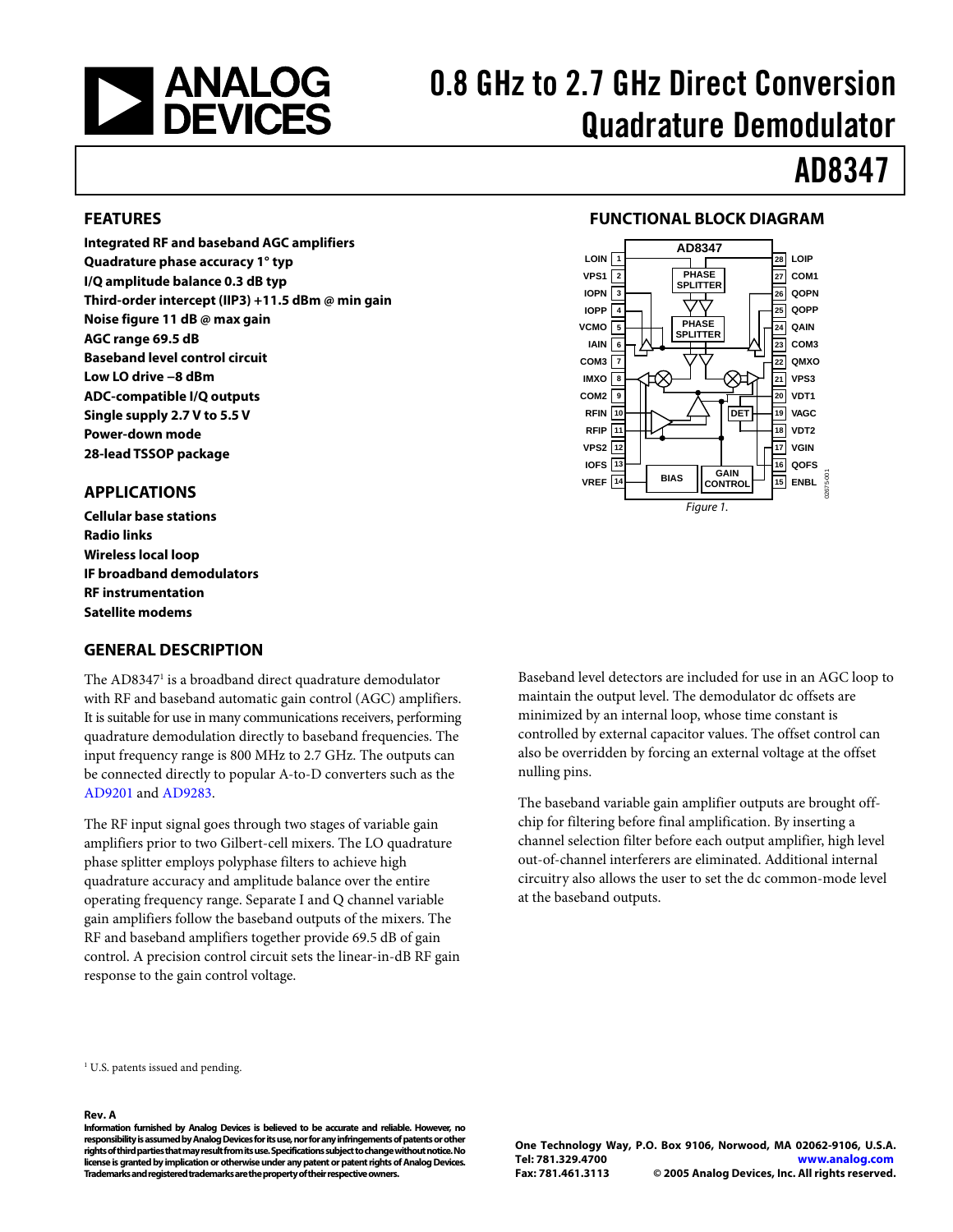<span id="page-0-0"></span>

## 0.8 GHz to 2.7 GHz Direct Conversion Quadrature Demodulator

## AD8347

**Integrated RF and baseband AGC amplifiers Quadrature phase accuracy 1° typ I/Q amplitude balance 0.3 dB typ Third-order intercept (IIP3) +11.5 dBm @ min gain Noise figure 11 dB @ max gain AGC range 69.5 dB Baseband level control circuit Low LO drive −8 dBm ADC-compatible I/Q outputs Single supply 2.7 V to 5.5 V Power-down mode 28-lead TSSOP package** 

#### **APPLICATIONS**

**Radio links Wireless local loop IF broadband demodulators RF instrumentation Satellite modems** 

#### **GENERAL DESCRIPTION**

The AD8347<sup>1</sup> is a broadband direct quadrature demodulator with RF and baseband automatic gain control (AGC) amplifiers. It is suitable for use in many communications receivers, performing quadrature demodulation directly to baseband frequencies. The input frequency range is 800 MHz to 2.7 GHz. The outputs can be connected directly to popular A-to-D converters such as the [AD9201](http://www.analog.com/en/prod/0%2C2877%2CAD9201%2C00.html) and [AD9283](http://www.analog.com/en/prod/0%2C2877%2CAD9283%2C00.html). The baseband variable gain amplifier outputs are brought off-

The RF input signal goes through two stages of variable gain amplifiers prior to two Gilbert-cell mixers. The LO quadrature phase splitter employs polyphase filters to achieve high quadrature accuracy and amplitude balance over the entire operating frequency range. Separate I and Q channel variable gain amplifiers follow the baseband outputs of the mixers. The RF and baseband amplifiers together provide 69.5 dB of gain control. A precision control circuit sets the linear-in-dB RF gain response to the gain control voltage.

#### **FEATURES FUNCTIONAL BLOCK DIAGRAM**



Baseband level detectors are included for use in an AGC loop to maintain the output level. The demodulator dc offsets are minimized by an internal loop, whose time constant is controlled by external capacitor values. The offset control can also be overridden by forcing an external voltage at the offset nulling pins.

chip for filtering before final amplification. By inserting a channel selection filter before each output amplifier, high level out-of-channel interferers are eliminated. Additional internal circuitry also allows the user to set the dc common-mode level at the baseband outputs.

<sup>1</sup> U.S. patents issued and pending.

#### **Rev. A**

**Information furnished by Analog Devices is believed to be accurate and reliable. However, no responsibility is assumed by Analog Devices for its use, nor for any infringements of patents or other rights of third parties that may result from its use. Specifications subject to change without notice. No license is granted by implication or otherwise under any patent or patent rights of Analog Devices. Trademarks and registered trademarks are the property of their respective owners.** 

**One Technology Way, P.O. Box 9106, Norwood, MA 02062-9106, U.S.A. Tel: 781.329.4700 www.analog.com Fax: 781.461.3113 © 2005 Analog Devices, Inc. All rights reserved.**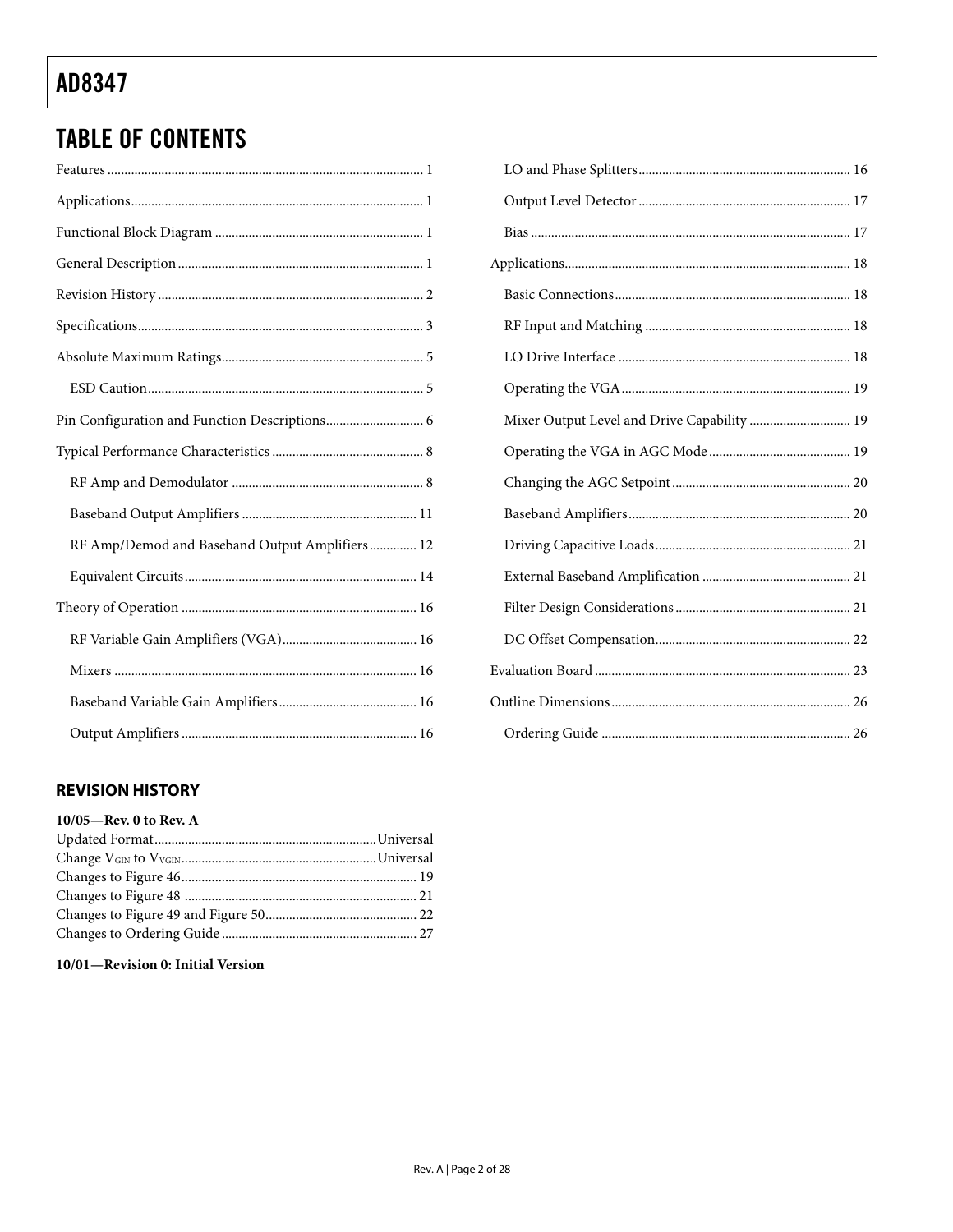## **TABLE OF CONTENTS**

| RF Amp/Demod and Baseband Output Amplifiers 12 |
|------------------------------------------------|
|                                                |
|                                                |
|                                                |
|                                                |
|                                                |
|                                                |

#### **REVISION HISTORY**

#### 10/05-Rev. 0 to Rev. A

#### 10/01-Revision 0: Initial Version

| Mixer Output Level and Drive Capability  19 |  |
|---------------------------------------------|--|
|                                             |  |
|                                             |  |
|                                             |  |
|                                             |  |
|                                             |  |
|                                             |  |
|                                             |  |
|                                             |  |
|                                             |  |
|                                             |  |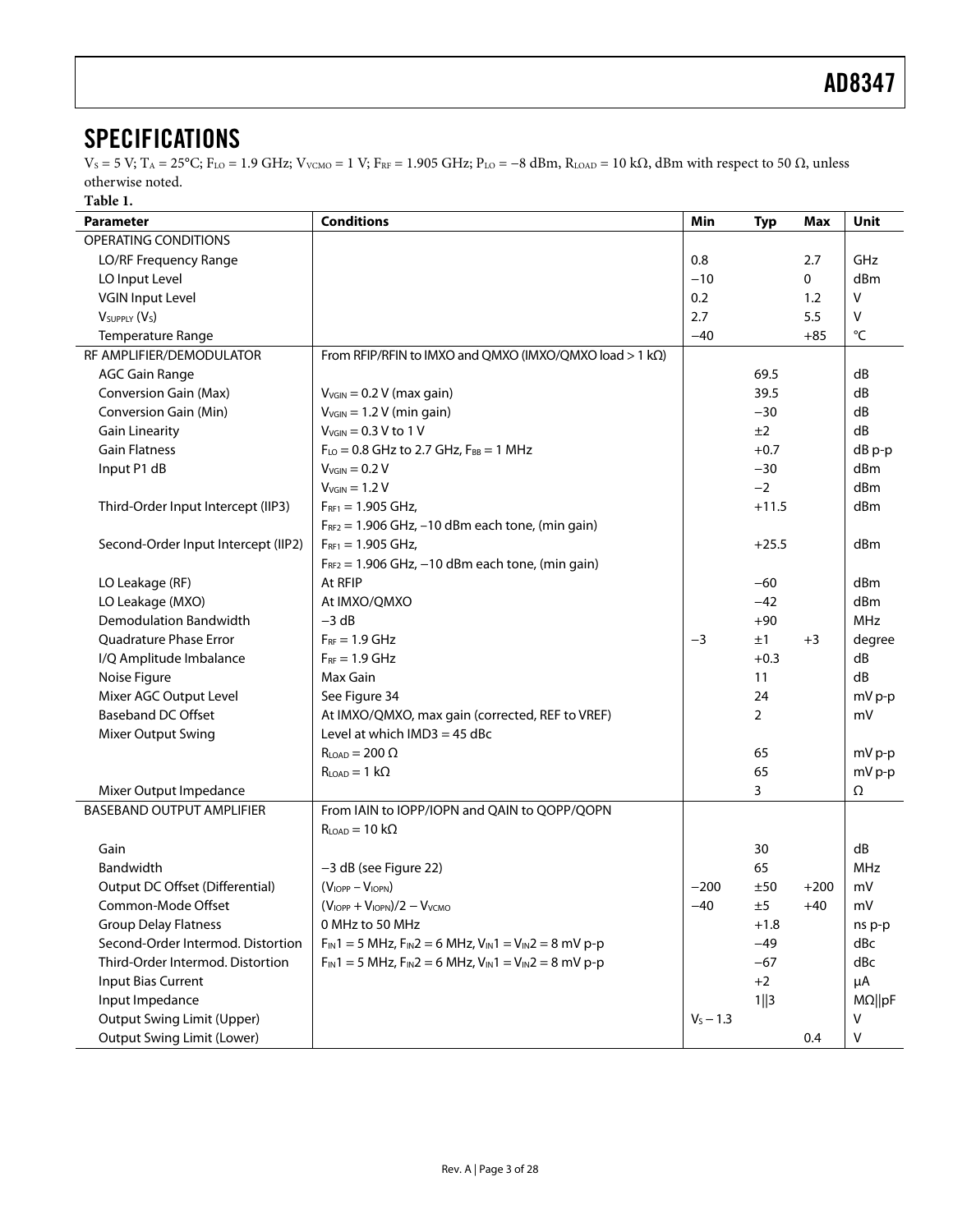## <span id="page-2-0"></span>**SPECIFICATIONS**

 $V_S = 5$  V; T<sub>A</sub> = 25°C; F<sub>LO</sub> = 1.9 GHz; V<sub>VCMO</sub> = 1 V; F<sub>RF</sub> = 1.905 GHz; P<sub>LO</sub> = -8 dBm, R<sub>LOAD</sub> = 10 k $\Omega$ , dBm with respect to 50  $\Omega$ , unless otherwise noted.

**Table 1.** 

| <b>Parameter</b>                      | <b>Conditions</b>                                                    | Min         | <b>Typ</b>     | Max    | Unit           |
|---------------------------------------|----------------------------------------------------------------------|-------------|----------------|--------|----------------|
| OPERATING CONDITIONS                  |                                                                      |             |                |        |                |
| LO/RF Frequency Range                 |                                                                      | 0.8         |                | 2.7    | GHz            |
| LO Input Level                        |                                                                      | $-10$       |                | 0      | dBm            |
| <b>VGIN Input Level</b>               |                                                                      | 0.2         |                | 1.2    | v              |
| V <sub>SUPPLY</sub> (V <sub>S</sub> ) |                                                                      | 2.7         |                | 5.5    | v              |
| Temperature Range                     |                                                                      | $-40$       |                | $+85$  | °C             |
| RF AMPLIFIER/DEMODULATOR              | From RFIP/RFIN to IMXO and QMXO (IMXO/QMXO load $> 1$ k $\Omega$ )   |             |                |        |                |
| <b>AGC Gain Range</b>                 |                                                                      |             | 69.5           |        | dB             |
| Conversion Gain (Max)                 | $V_{VGIN} = 0.2 V$ (max gain)                                        |             | 39.5           |        | dB             |
| Conversion Gain (Min)                 | $V_{VGIN} = 1.2 V$ (min gain)                                        |             | $-30$          |        | dB             |
| <b>Gain Linearity</b>                 | $V_{VGIN} = 0.3 V$ to 1 V                                            |             | ±2             |        | dB             |
| <b>Gain Flatness</b>                  | $F_{LO} = 0.8$ GHz to 2.7 GHz, $F_{BB} = 1$ MHz                      |             | $+0.7$         |        | dB p-p         |
| Input P1 dB                           | $V_{VGIN} = 0.2 V$                                                   |             | $-30$          |        | dBm            |
|                                       | $V_{VGIN} = 1.2 V$                                                   |             | $-2$           |        | dBm            |
| Third-Order Input Intercept (IIP3)    | $F_{RF1} = 1.905$ GHz,                                               |             | $+11.5$        |        | dBm            |
|                                       | $F_{RF2}$ = 1.906 GHz, -10 dBm each tone, (min gain)                 |             |                |        |                |
| Second-Order Input Intercept (IIP2)   | $F_{RF1} = 1.905$ GHz,                                               |             | $+25.5$        |        | dBm            |
|                                       | $F_{RF2}$ = 1.906 GHz, -10 dBm each tone, (min gain)                 |             |                |        |                |
| LO Leakage (RF)                       | At RFIP                                                              |             | $-60$          |        | dBm            |
| LO Leakage (MXO)                      | At IMXO/QMXO                                                         |             | $-42$          |        | dBm            |
| <b>Demodulation Bandwidth</b>         | $-3 dB$                                                              |             | $+90$          |        | <b>MHz</b>     |
| Quadrature Phase Error                | $F_{RF}$ = 1.9 GHz                                                   | $-3$        | ±1             | $+3$   | degree         |
| I/Q Amplitude Imbalance               | $F_{RF} = 1.9$ GHz                                                   |             | $+0.3$         |        | dB             |
| Noise Figure                          | Max Gain                                                             |             | 11             |        | dB             |
| Mixer AGC Output Level                | See Figure 34                                                        |             | 24             |        | mV p-p         |
| <b>Baseband DC Offset</b>             | At IMXO/QMXO, max gain (corrected, REF to VREF)                      |             | $\overline{2}$ |        | mV             |
| <b>Mixer Output Swing</b>             | Level at which $IMD3 = 45$ dBc                                       |             |                |        |                |
|                                       | $R_{LOAD} = 200 \Omega$                                              |             | 65             |        | mV p-p         |
|                                       | $R_{LOAD} = 1 k\Omega$                                               |             | 65             |        | mV p-p         |
| Mixer Output Impedance                |                                                                      |             | 3              |        | Ω              |
| <b>BASEBAND OUTPUT AMPLIFIER</b>      | From IAIN to IOPP/IOPN and QAIN to QOPP/QOPN                         |             |                |        |                |
|                                       | $R_{LOAD} = 10 k\Omega$                                              |             |                |        |                |
| Gain                                  |                                                                      |             | 30             |        | dB             |
| Bandwidth                             | $-3$ dB (see Figure 22)                                              |             | 65             |        | MHz            |
| Output DC Offset (Differential)       | $(VIOPP - VIOPN)$                                                    | $-200$      | ±50            | $+200$ | mV             |
| Common-Mode Offset                    | $(VIOPP + VIOPN)/2 - VVCMO$                                          | $-40$       | $\pm 5$        | $+40$  | mV             |
| <b>Group Delay Flatness</b>           | 0 MHz to 50 MHz                                                      |             | $+1.8$         |        | ns p-p         |
| Second-Order Intermod. Distortion     | $F_{IN}1 = 5$ MHz, $F_{IN}2 = 6$ MHz, $V_{IN}1 = V_{IN}2 = 8$ mV p-p |             | $-49$          |        | dBc            |
| Third-Order Intermod. Distortion      | $F_{IN}1 = 5$ MHz, $F_{IN}2 = 6$ MHz, $V_{IN}1 = V_{IN}2 = 8$ mV p-p |             | $-67$          |        | dBc            |
| Input Bias Current                    |                                                                      |             | $+2$           |        | μA             |
| Input Impedance                       |                                                                      |             | 1  3           |        | $M\Omega$   pF |
| <b>Output Swing Limit (Upper)</b>     |                                                                      | $V_S - 1.3$ |                |        | v              |
| <b>Output Swing Limit (Lower)</b>     |                                                                      |             |                | 0.4    | V              |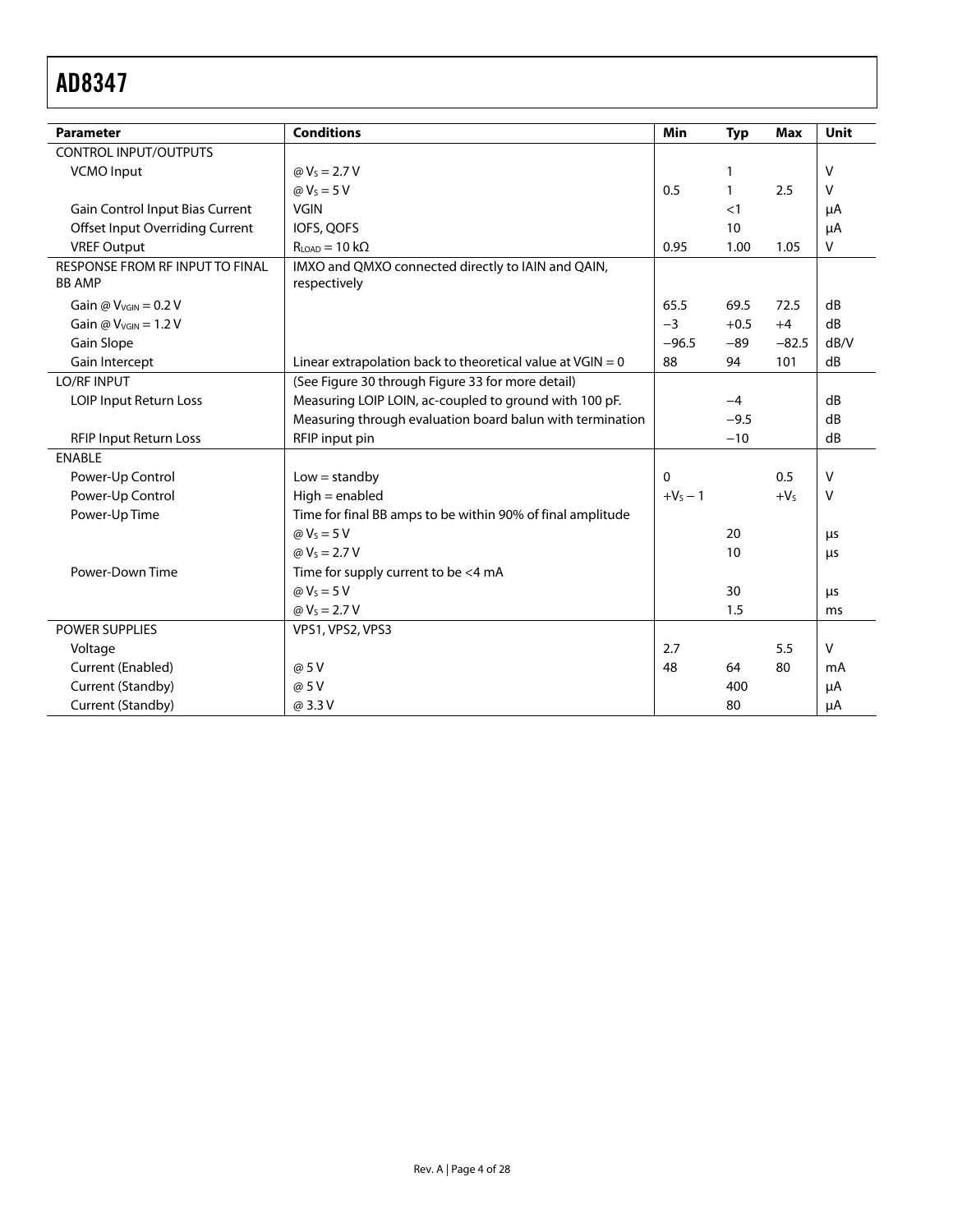| <b>Parameter</b>                                                                                                       | <b>Conditions</b>                                            | Min        | <b>Typ</b> | <b>Max</b> | <b>Unit</b> |
|------------------------------------------------------------------------------------------------------------------------|--------------------------------------------------------------|------------|------------|------------|-------------|
| <b>CONTROL INPUT/OUTPUTS</b>                                                                                           |                                                              |            |            |            |             |
| <b>VCMO Input</b>                                                                                                      | @ $V_5 = 2.7 V$                                              |            | 1          |            | $\vee$      |
|                                                                                                                        | @ $V_5 = 5 V$                                                | 0.5        | 1          | 2.5        | $\vee$      |
| Gain Control Input Bias Current                                                                                        | <b>VGIN</b>                                                  |            | $<$ 1      |            | μA          |
| Offset Input Overriding Current                                                                                        | IOFS, QOFS                                                   |            | 10         |            | μA          |
| <b>VREF Output</b>                                                                                                     | $RLOAD = 10 k\Omega$                                         | 0.95       | 1.00       | 1.05       | V           |
| RESPONSE FROM RF INPUT TO FINAL<br>IMXO and QMXO connected directly to IAIN and QAIN,<br><b>BB AMP</b><br>respectively |                                                              |            |            |            |             |
| Gain @ $V_{VGIN} = 0.2 V$                                                                                              |                                                              | 65.5       | 69.5       | 72.5       | dB          |
| Gain @ $V_{VGIN} = 1.2 V$                                                                                              |                                                              | $-3$       | $+0.5$     | $+4$       | dB          |
| Gain Slope                                                                                                             |                                                              | $-96.5$    | $-89$      | $-82.5$    | dB/V        |
| Gain Intercept                                                                                                         | Linear extrapolation back to theoretical value at $VGIN = 0$ | 88         | 94         | 101        | dB          |
| <b>LO/RF INPUT</b>                                                                                                     | (See Figure 30 through Figure 33 for more detail)            |            |            |            |             |
| LOIP Input Return Loss                                                                                                 | Measuring LOIP LOIN, ac-coupled to ground with 100 pF.       |            | $-4$       |            | dB          |
|                                                                                                                        | Measuring through evaluation board balun with termination    |            | $-9.5$     |            | dB          |
| <b>RFIP Input Return Loss</b>                                                                                          | RFIP input pin                                               |            | $-10$      |            | dB          |
| <b>ENABLE</b>                                                                                                          |                                                              |            |            |            |             |
| Power-Up Control                                                                                                       | $Low = standard$                                             | $\Omega$   |            | 0.5        | $\vee$      |
| Power-Up Control                                                                                                       | $High = enabled$                                             | $+V_5 - 1$ |            | $+VS$      | V           |
| Power-Up Time                                                                                                          | Time for final BB amps to be within 90% of final amplitude   |            |            |            |             |
|                                                                                                                        | $@V_5 = 5V$                                                  |            | 20         |            | μs          |
|                                                                                                                        | @ $V_5 = 2.7 V$                                              |            | 10         |            | <b>LIS</b>  |
| Power-Down Time                                                                                                        | Time for supply current to be <4 mA                          |            |            |            |             |
|                                                                                                                        | $@V_5 = 5V$                                                  |            | 30         |            | μs          |
|                                                                                                                        | @ $V_5 = 2.7 V$                                              |            | 1.5        |            | ms          |
| <b>POWER SUPPLIES</b>                                                                                                  | VPS1, VPS2, VPS3                                             |            |            |            |             |
| Voltage                                                                                                                |                                                              | 2.7        |            | 5.5        | V           |
| Current (Enabled)                                                                                                      | @ 5 V                                                        | 48         | 64         | 80         | mA          |
| Current (Standby)                                                                                                      | @ 5 V                                                        |            | 400        |            | μA          |
| Current (Standby)                                                                                                      | @ 3.3 V                                                      |            | 80         |            | μA          |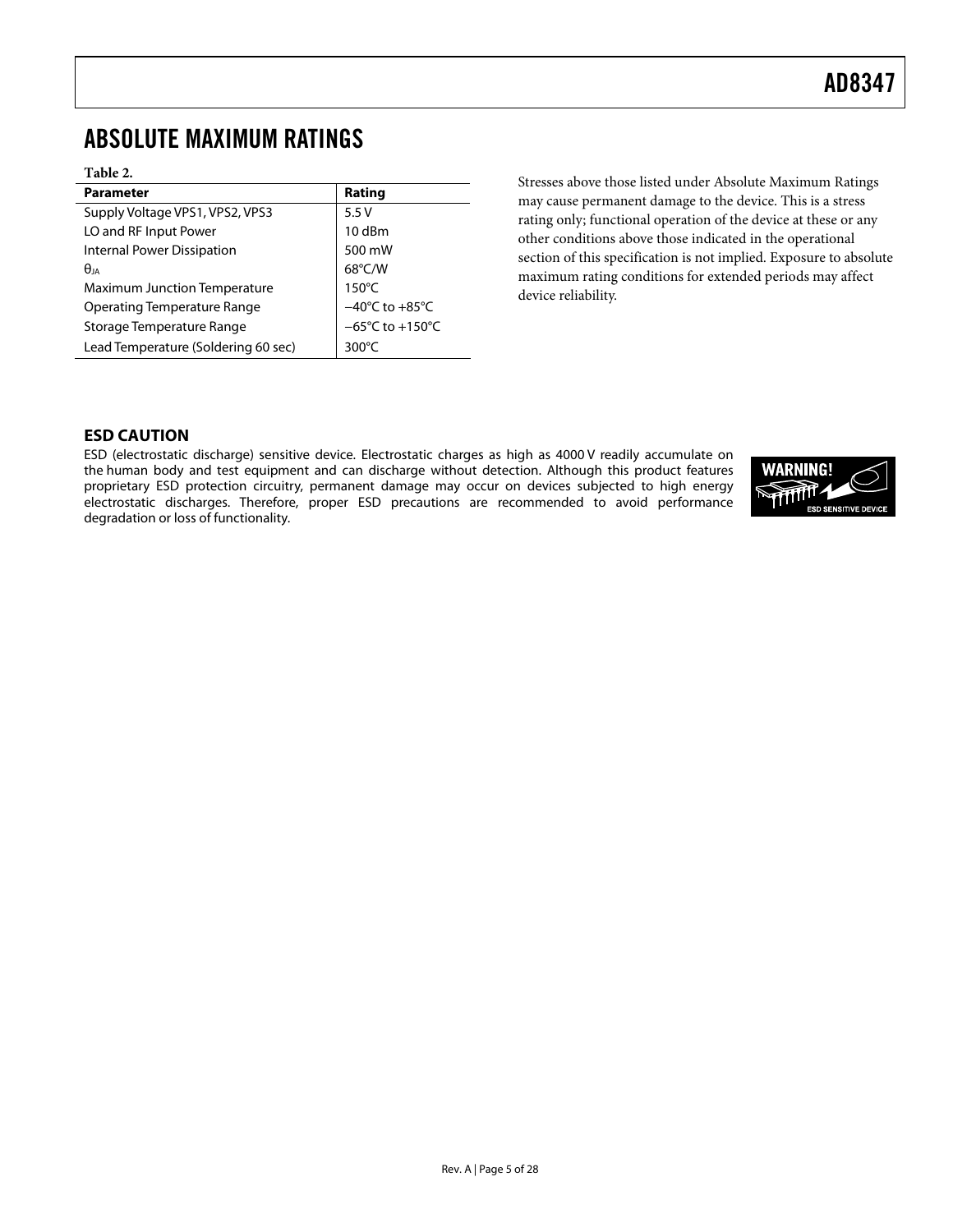## <span id="page-4-0"></span>ABSOLUTE MAXIMUM RATINGS

#### **Table 2.**

| <b>Parameter</b>                    | Rating                               |
|-------------------------------------|--------------------------------------|
| Supply Voltage VPS1, VPS2, VPS3     | 5.5V                                 |
| LO and RF Input Power               | 10 dBm                               |
| <b>Internal Power Dissipation</b>   | 500 mW                               |
| $\theta$ ia                         | $68^{\circ}$ C/W                     |
| <b>Maximum Junction Temperature</b> | $150^{\circ}$ C                      |
| Operating Temperature Range         | $-40^{\circ}$ C to $+85^{\circ}$ C   |
| Storage Temperature Range           | $-65^{\circ}$ C to +150 $^{\circ}$ C |
| Lead Temperature (Soldering 60 sec) | 300 $\degree$ C                      |

**Stresses above those listed under Absolute Maximum Ratings** may cause permanent damage to the device. This is a stress rating only; functional operation of the device at these or any other conditions above those indicated in the operational section of this specification is not implied. Exposure to absolute maximum rating conditions for extended periods may affect device reliability.

#### **ESD CAUTION**

ESD (electrostatic discharge) sensitive device. Electrostatic charges as high as 4000 V readily accumulate on the human body and test equipment and can discharge without detection. Although this product features proprietary ESD protection circuitry, permanent damage may occur on devices subjected to high energy electrostatic discharges. Therefore, proper ESD precautions are recommended to avoid performance degradation or loss of functionality.

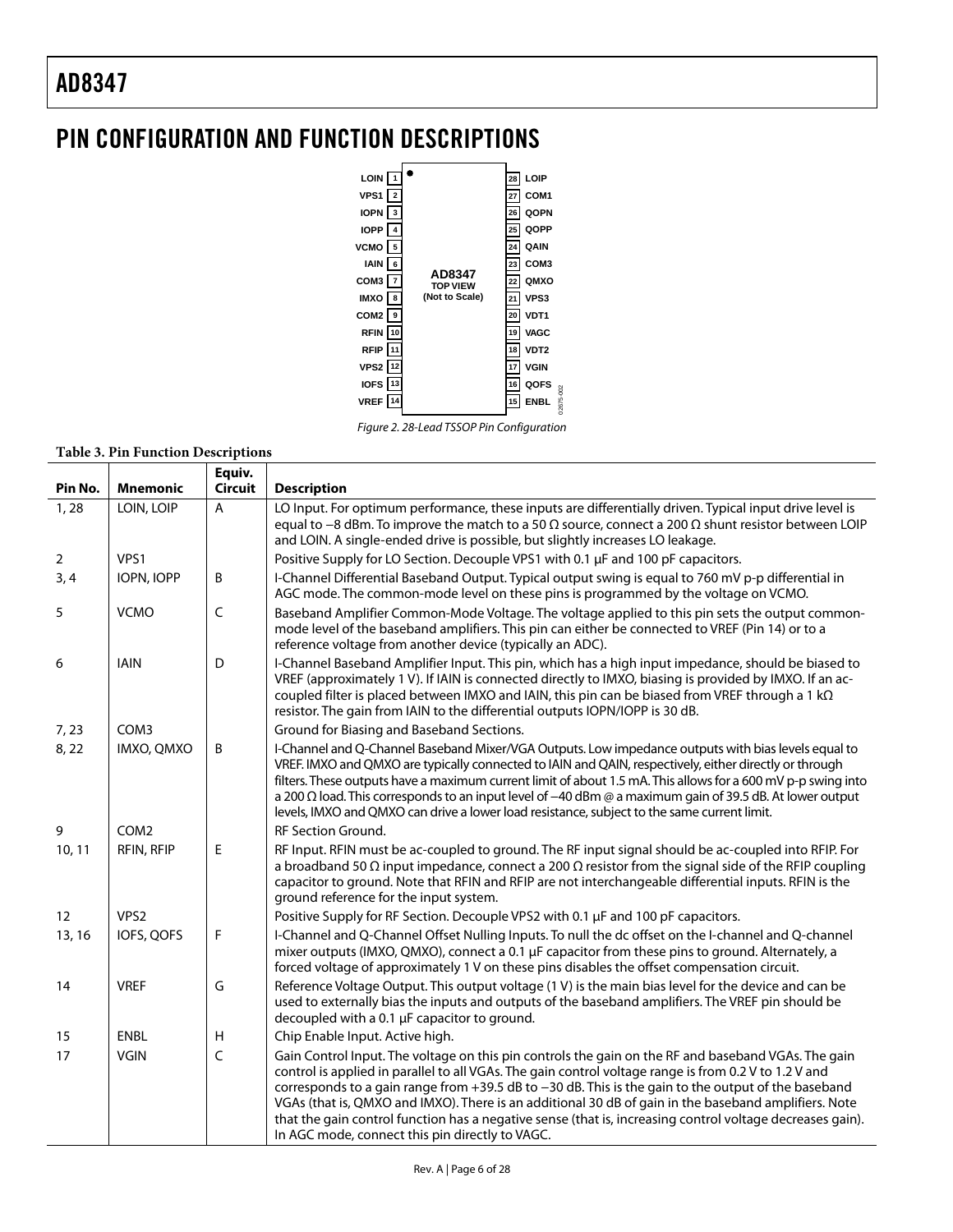## <span id="page-5-0"></span>PIN CONFIGURATION AND FUNCTION DESCRIPTIONS



Figure 2. 28-Lead TSSOP Pin Configuration

02675-002

### **Table 3. Pin Function Descriptions**

| Pin No.        | <b>Mnemonic</b>  | Equiv.<br><b>Circuit</b> | <b>Description</b>                                                                                                                                                                                                                                                                                                                                                                                                                                                                                                                                                                          |
|----------------|------------------|--------------------------|---------------------------------------------------------------------------------------------------------------------------------------------------------------------------------------------------------------------------------------------------------------------------------------------------------------------------------------------------------------------------------------------------------------------------------------------------------------------------------------------------------------------------------------------------------------------------------------------|
| 1,28           | LOIN, LOIP       | $\overline{A}$           | LO Input. For optimum performance, these inputs are differentially driven. Typical input drive level is<br>equal to -8 dBm. To improve the match to a 50 $\Omega$ source, connect a 200 $\Omega$ shunt resistor between LOIP<br>and LOIN. A single-ended drive is possible, but slightly increases LO leakage.                                                                                                                                                                                                                                                                              |
| $\overline{2}$ | VPS1             |                          | Positive Supply for LO Section. Decouple VPS1 with 0.1 µF and 100 pF capacitors.                                                                                                                                                                                                                                                                                                                                                                                                                                                                                                            |
| 3, 4           | IOPN, IOPP       | $\sf B$                  | I-Channel Differential Baseband Output. Typical output swing is equal to 760 mV p-p differential in<br>AGC mode. The common-mode level on these pins is programmed by the voltage on VCMO.                                                                                                                                                                                                                                                                                                                                                                                                  |
| 5              | <b>VCMO</b>      | $\mathsf{C}$             | Baseband Amplifier Common-Mode Voltage. The voltage applied to this pin sets the output common-<br>mode level of the baseband amplifiers. This pin can either be connected to VREF (Pin 14) or to a<br>reference voltage from another device (typically an ADC).                                                                                                                                                                                                                                                                                                                            |
| 6              | <b>IAIN</b>      | D                        | I-Channel Baseband Amplifier Input. This pin, which has a high input impedance, should be biased to<br>VREF (approximately 1 V). If IAIN is connected directly to IMXO, biasing is provided by IMXO. If an ac-<br>coupled filter is placed between IMXO and IAIN, this pin can be biased from VREF through a 1 $k\Omega$<br>resistor. The gain from IAIN to the differential outputs IOPN/IOPP is 30 dB.                                                                                                                                                                                    |
| 7,23           | COM3             |                          | Ground for Biasing and Baseband Sections.                                                                                                                                                                                                                                                                                                                                                                                                                                                                                                                                                   |
| 8, 22          | IMXO, QMXO       | B                        | I-Channel and Q-Channel Baseband Mixer/VGA Outputs. Low impedance outputs with bias levels equal to<br>VREF. IMXO and QMXO are typically connected to IAIN and QAIN, respectively, either directly or through<br>filters. These outputs have a maximum current limit of about 1.5 mA. This allows for a 600 mV p-p swing into<br>a 200 $\Omega$ load. This corresponds to an input level of $-40$ dBm @ a maximum gain of 39.5 dB. At lower output<br>levels, IMXO and QMXO can drive a lower load resistance, subject to the same current limit.                                           |
| 9              | COM <sub>2</sub> |                          | <b>RF Section Ground.</b>                                                                                                                                                                                                                                                                                                                                                                                                                                                                                                                                                                   |
| 10, 11         | RFIN, RFIP       | E                        | RF Input. RFIN must be ac-coupled to ground. The RF input signal should be ac-coupled into RFIP. For<br>a broadband 50 $\Omega$ input impedance, connect a 200 $\Omega$ resistor from the signal side of the RFIP coupling<br>capacitor to ground. Note that RFIN and RFIP are not interchangeable differential inputs. RFIN is the<br>ground reference for the input system.                                                                                                                                                                                                               |
| 12             | VPS2             |                          | Positive Supply for RF Section. Decouple VPS2 with 0.1 µF and 100 pF capacitors.                                                                                                                                                                                                                                                                                                                                                                                                                                                                                                            |
| 13, 16         | IOFS, QOFS       | F                        | I-Channel and Q-Channel Offset Nulling Inputs. To null the dc offset on the I-channel and Q-channel<br>mixer outputs (IMXO, QMXO), connect a 0.1 µF capacitor from these pins to ground. Alternately, a<br>forced voltage of approximately 1 V on these pins disables the offset compensation circuit.                                                                                                                                                                                                                                                                                      |
| 14             | <b>VREF</b>      | G                        | Reference Voltage Output. This output voltage (1 V) is the main bias level for the device and can be<br>used to externally bias the inputs and outputs of the baseband amplifiers. The VREF pin should be<br>decoupled with a 0.1 µF capacitor to ground.                                                                                                                                                                                                                                                                                                                                   |
| 15             | <b>ENBL</b>      | H                        | Chip Enable Input. Active high.                                                                                                                                                                                                                                                                                                                                                                                                                                                                                                                                                             |
| 17             | <b>VGIN</b>      | $\mathsf{C}$             | Gain Control Input. The voltage on this pin controls the gain on the RF and baseband VGAs. The gain<br>control is applied in parallel to all VGAs. The gain control voltage range is from 0.2 V to 1.2 V and<br>corresponds to a gain range from +39.5 dB to -30 dB. This is the gain to the output of the baseband<br>VGAs (that is, QMXO and IMXO). There is an additional 30 dB of gain in the baseband amplifiers. Note<br>that the gain control function has a negative sense (that is, increasing control voltage decreases gain).<br>In AGC mode, connect this pin directly to VAGC. |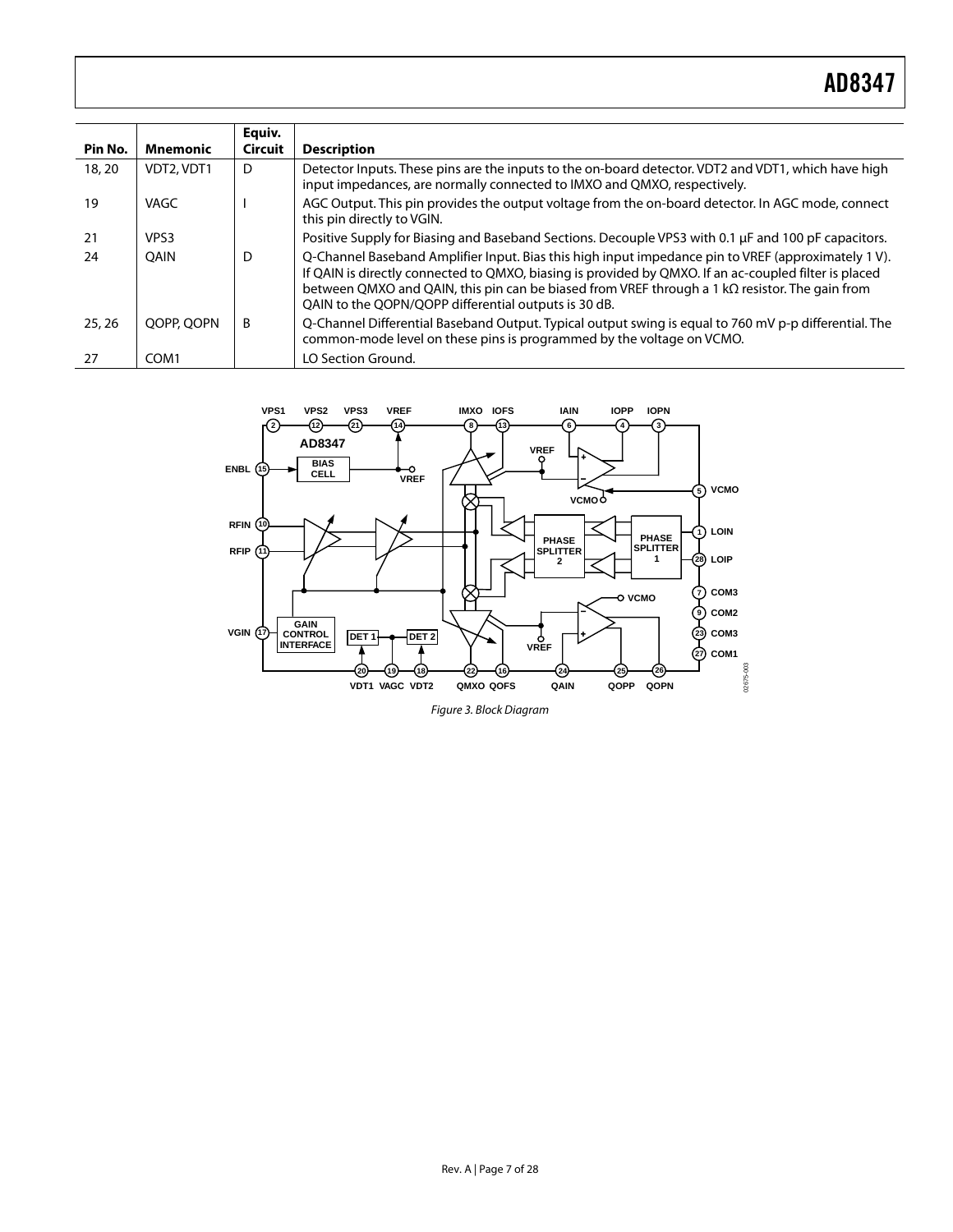| Pin No. | <b>Mnemonic</b>  | Equiv.<br><b>Circuit</b> | <b>Description</b>                                                                                                                                                                                                                                                                                                                                                            |
|---------|------------------|--------------------------|-------------------------------------------------------------------------------------------------------------------------------------------------------------------------------------------------------------------------------------------------------------------------------------------------------------------------------------------------------------------------------|
| 18, 20  | VDT2, VDT1       | D                        | Detector Inputs. These pins are the inputs to the on-board detector. VDT2 and VDT1, which have high<br>input impedances, are normally connected to IMXO and QMXO, respectively.                                                                                                                                                                                               |
| 19      | VAGC             |                          | AGC Output. This pin provides the output voltage from the on-board detector. In AGC mode, connect<br>this pin directly to VGIN.                                                                                                                                                                                                                                               |
| 21      | VPS3             |                          | Positive Supply for Biasing and Baseband Sections. Decouple VPS3 with 0.1 µF and 100 pF capacitors.                                                                                                                                                                                                                                                                           |
| 24      | <b>OAIN</b>      | D                        | Q-Channel Baseband Amplifier Input. Bias this high input impedance pin to VREF (approximately 1 V).<br>If QAIN is directly connected to QMXO, biasing is provided by QMXO. If an ac-coupled filter is placed<br>between QMXO and QAIN, this pin can be biased from VREF through a 1 $k\Omega$ resistor. The gain from<br>QAIN to the QOPN/QOPP differential outputs is 30 dB. |
| 25, 26  | OOPP, OOPN       | B                        | Q-Channel Differential Baseband Output. Typical output swing is equal to 760 mV p-p differential. The<br>common-mode level on these pins is programmed by the voltage on VCMO.                                                                                                                                                                                                |
| 27      | COM <sub>1</sub> |                          | LO Section Ground.                                                                                                                                                                                                                                                                                                                                                            |



Figure 3. Block Diagram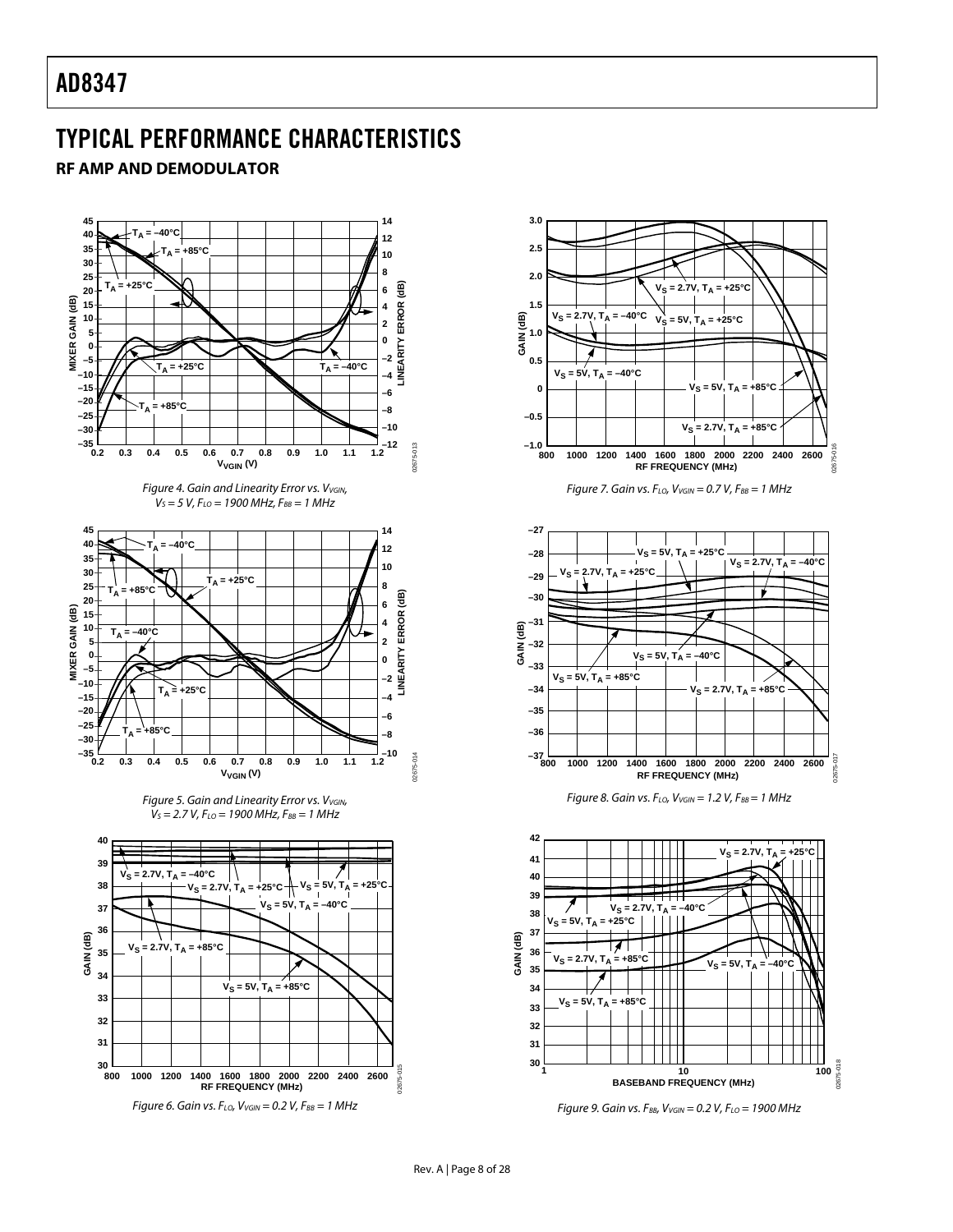## <span id="page-7-0"></span>TYPICAL PERFORMANCE CHARACTERISTICS

#### **RF AMP AND DEMODULATOR**

<span id="page-7-1"></span>









<span id="page-7-2"></span>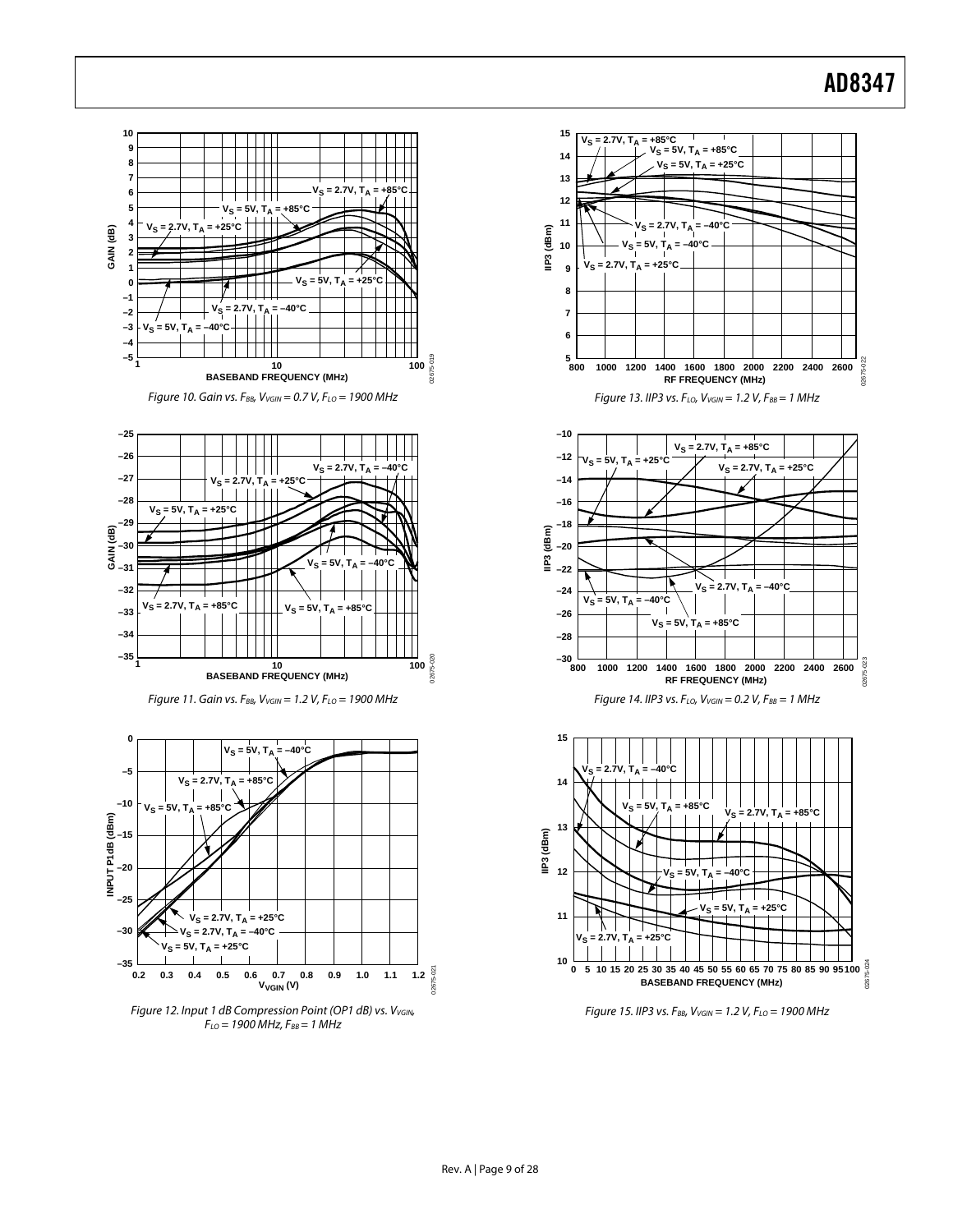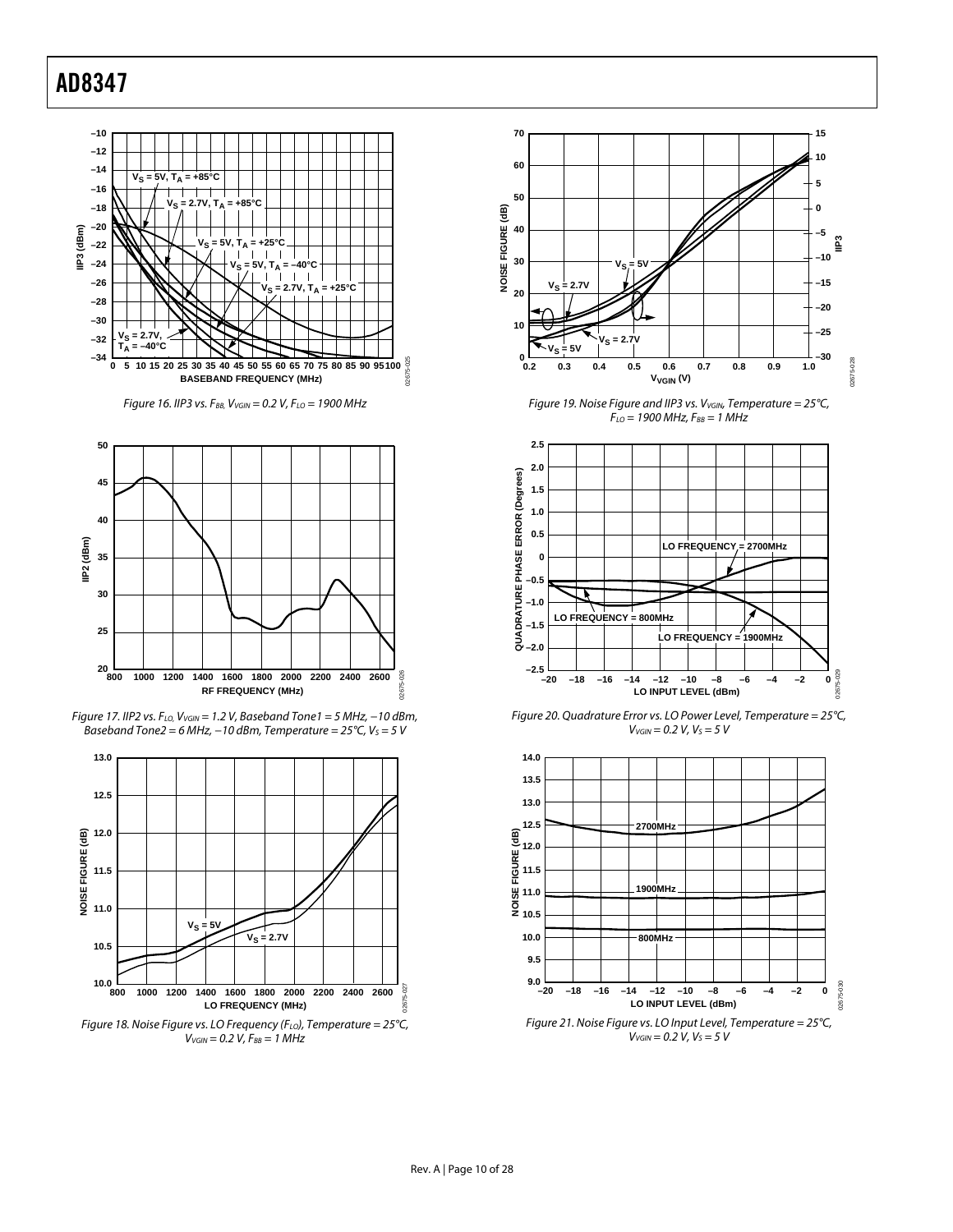

Figure 16. IIP3 vs.  $F_{BB}$ ,  $V_{VGN}$  = 0.2 V,  $F_{LO}$  = 1900 MHz



<span id="page-9-0"></span>Figure 17. IIP2 vs. F<sub>LO</sub>, V<sub>VGIN</sub> = 1.2 V, Baseband Tone1 = 5 MHz, -10 dBm, Baseband Tone2 = 6 MHz,  $-10$  dBm, Temperature = 25°C,  $V_5 = 5$  V



Figure 18. Noise Figure vs. LO Frequency ( $F_{LO}$ ), Temperature = 25°C,  $V_{VGIN} = 0.2 V, F_{BB} = 1 MHz$ 



Figure 19. Noise Figure and IIP3 vs. V<sub>VGIN</sub>, Temperature =  $25^{\circ}$ C,  $F_{LO}$  = 1900 MHz,  $F_{BB}$  = 1 MHz



Figure 20. Quadrature Error vs. LO Power Level, Temperature = 25°C,  $V_{VGIN} = 0.2 V, V_S = 5 V$ 



 $V_{VGN} = 0.2 V, V_S = 5 V$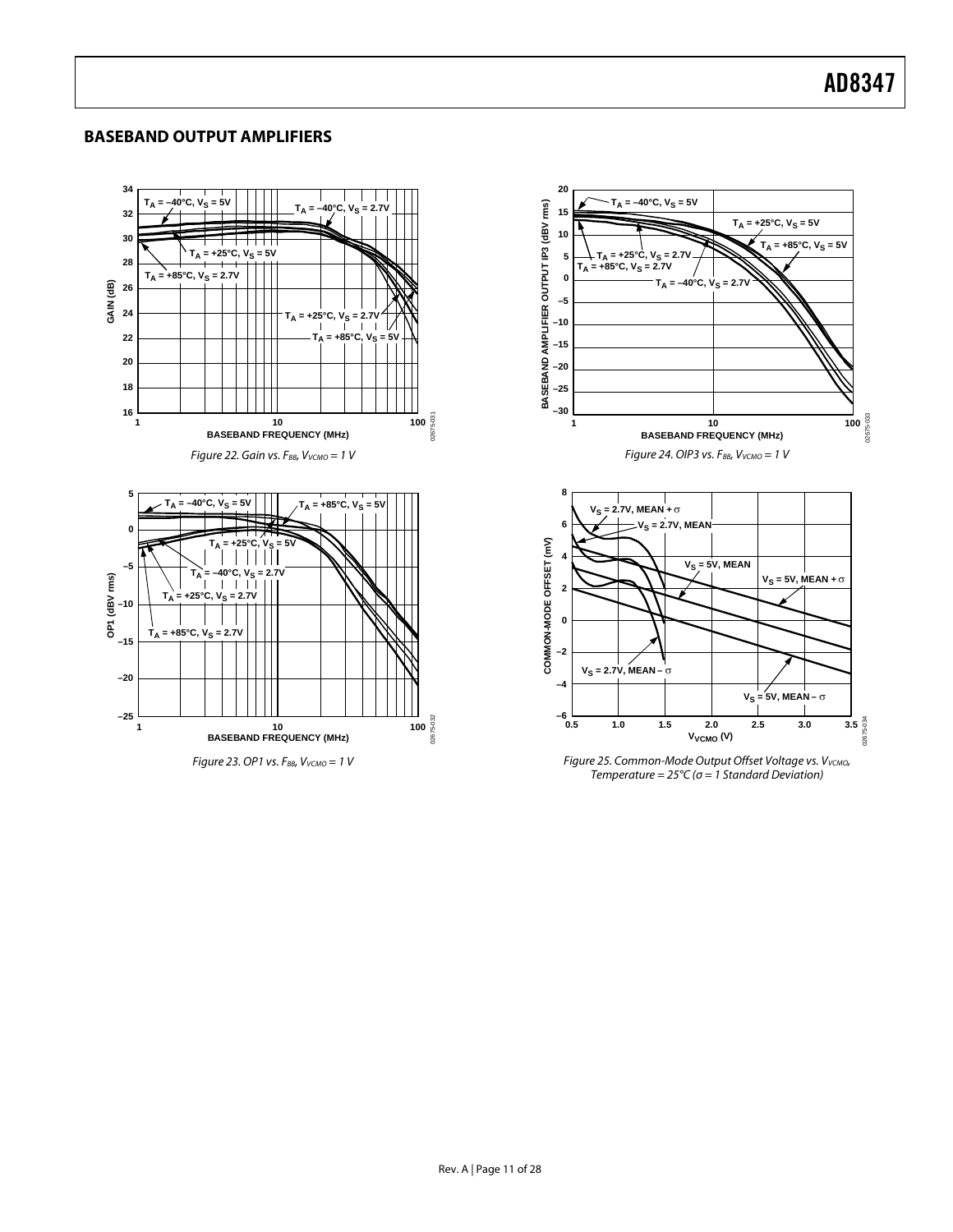#### <span id="page-10-0"></span>**BASEBAND OUTPUT AMPLIFIERS**

<span id="page-10-1"></span>

Figure 23. OP1 vs.  $F_{BB}$ ,  $V_{VCMO} = 1$  V



Figure 25. Common-Mode Output Offset Voltage vs. V<sub>VCMO</sub>, Temperature =  $25^{\circ}C$  ( $\sigma$  = 1 Standard Deviation)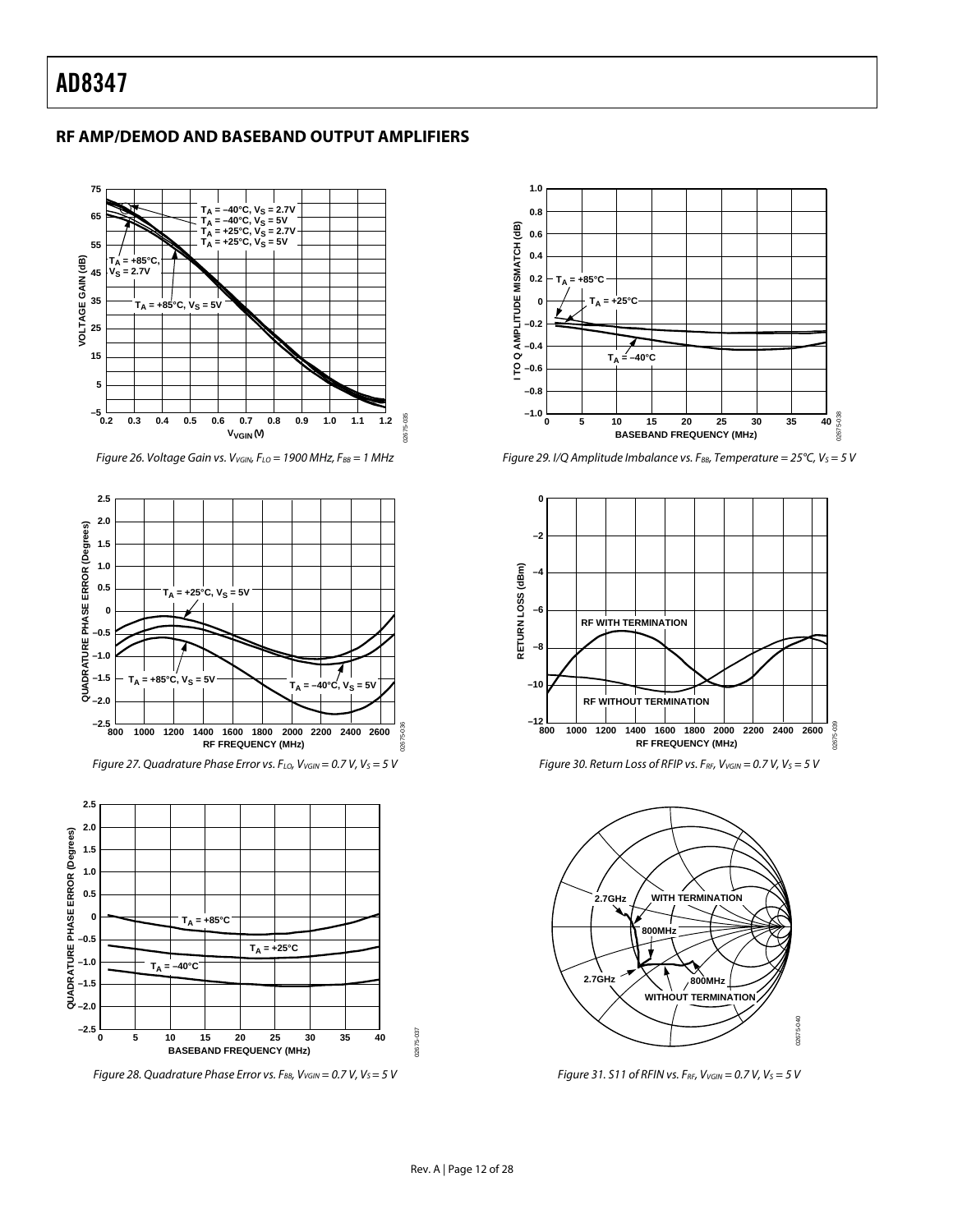#### <span id="page-11-0"></span>**RF AMP/DEMOD AND BASEBAND OUTPUT AMPLIFIERS**





<span id="page-11-1"></span>

Figure 28. Quadrature Phase Error vs. F<sub>BB</sub>, V<sub>VGIN</sub> = 0.7 V, V<sub>S</sub> = 5 V Figure 31. S11 of RFIN vs. F<sub>RF</sub>, V<sub>VGIN</sub> = 0.7 V, V<sub>S</sub> = 5 V



Figure 26. Voltage Gain vs. V<sub>VGIN</sub>, F<sub>LO</sub> = 1900 MHz, F<sub>BB</sub> = 1 MHz Figure 29. I/Q Amplitude Imbalance vs. F<sub>BB</sub>, Temperature = 25°C, V<sub>S</sub> = 5 V



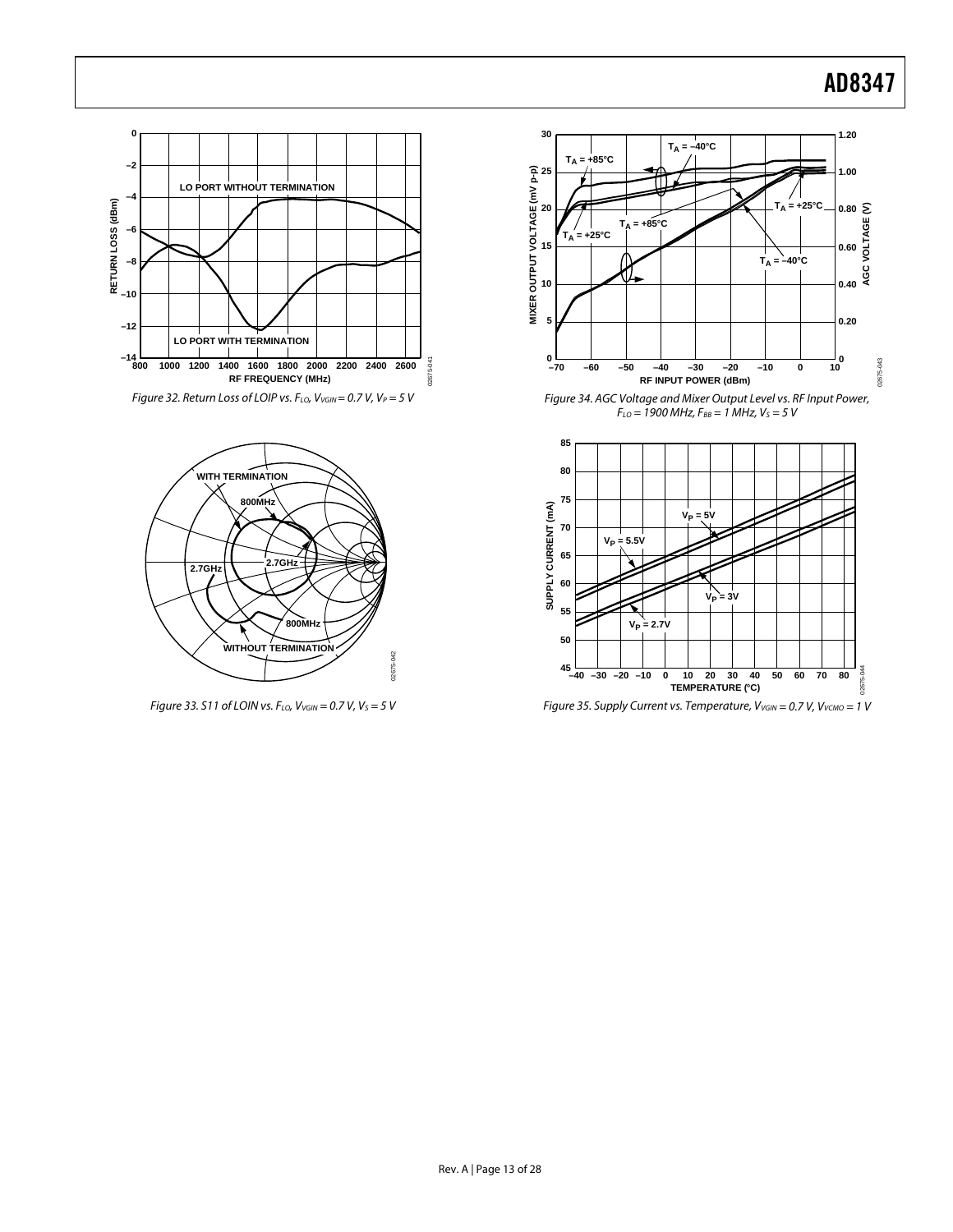



<span id="page-12-1"></span>



<span id="page-12-0"></span>Figure 32. Return Loss of LOIP vs. F<sub>LO</sub>, V<sub>VGIN</sub> = 0.7 V, V<sub>P</sub> = 5 V Figure 34. AGC Voltage and Mixer Output Level vs. RF Input Power,  $F_{LO}$  = 1900 MHz,  $F_{BB}$  = 1 MHz,  $V_S$  = 5 V



Figure 33. S11 of LOIN vs. F<sub>LO</sub>, V<sub>VGIN</sub> = 0.7 V, V<sub>S</sub> = 5 V Figure 35. Supply Current vs. Temperature, V<sub>VGIN</sub> = 0.7 V, V<sub>VCMO</sub> = 1 V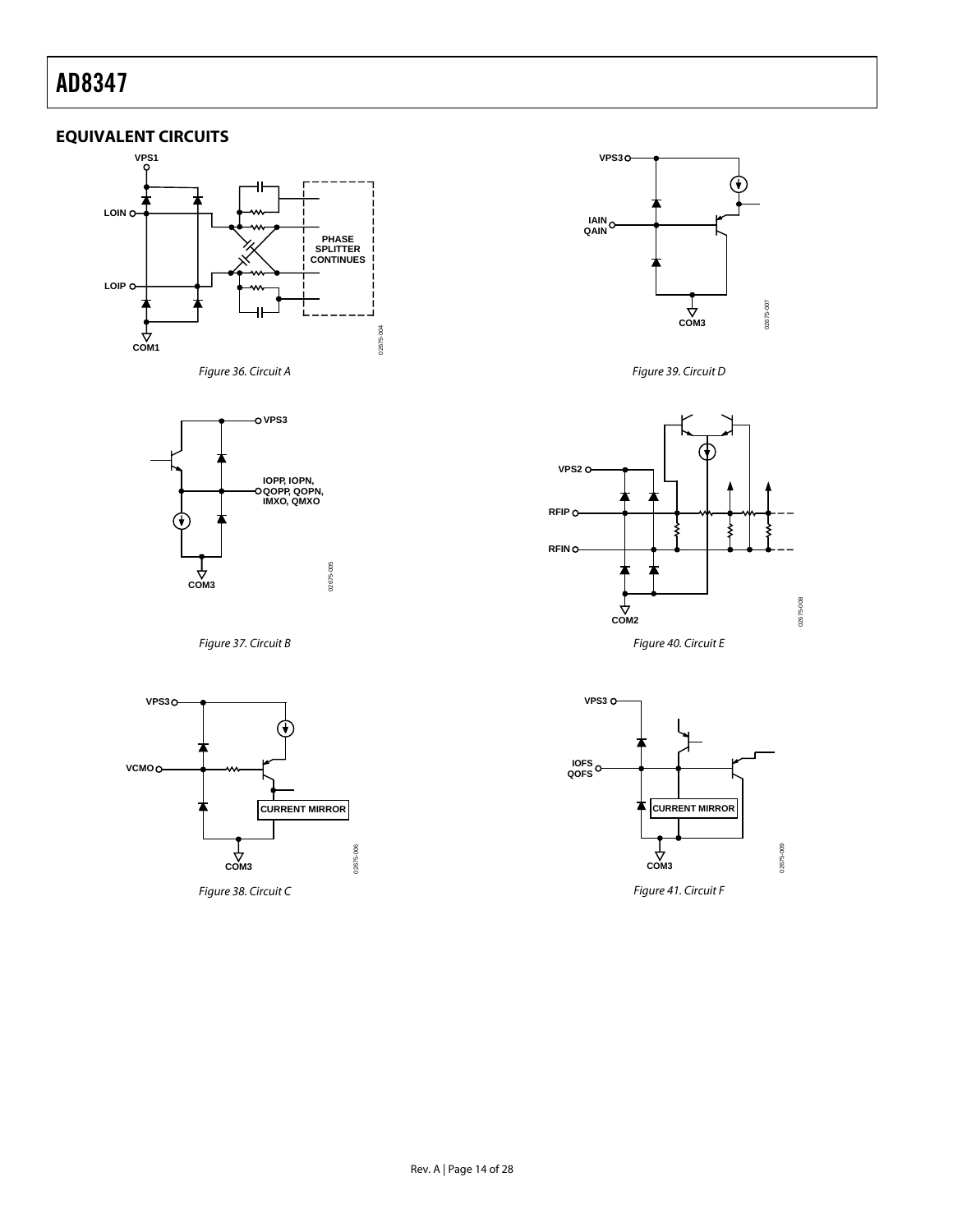#### <span id="page-13-0"></span>**EQUIVALENT CIRCUITS**





Figure 37. Circuit B **Figure 40. Circuit E** 



02675-006



Figure 36. Circuit A **Figure 39. Circuit D** 



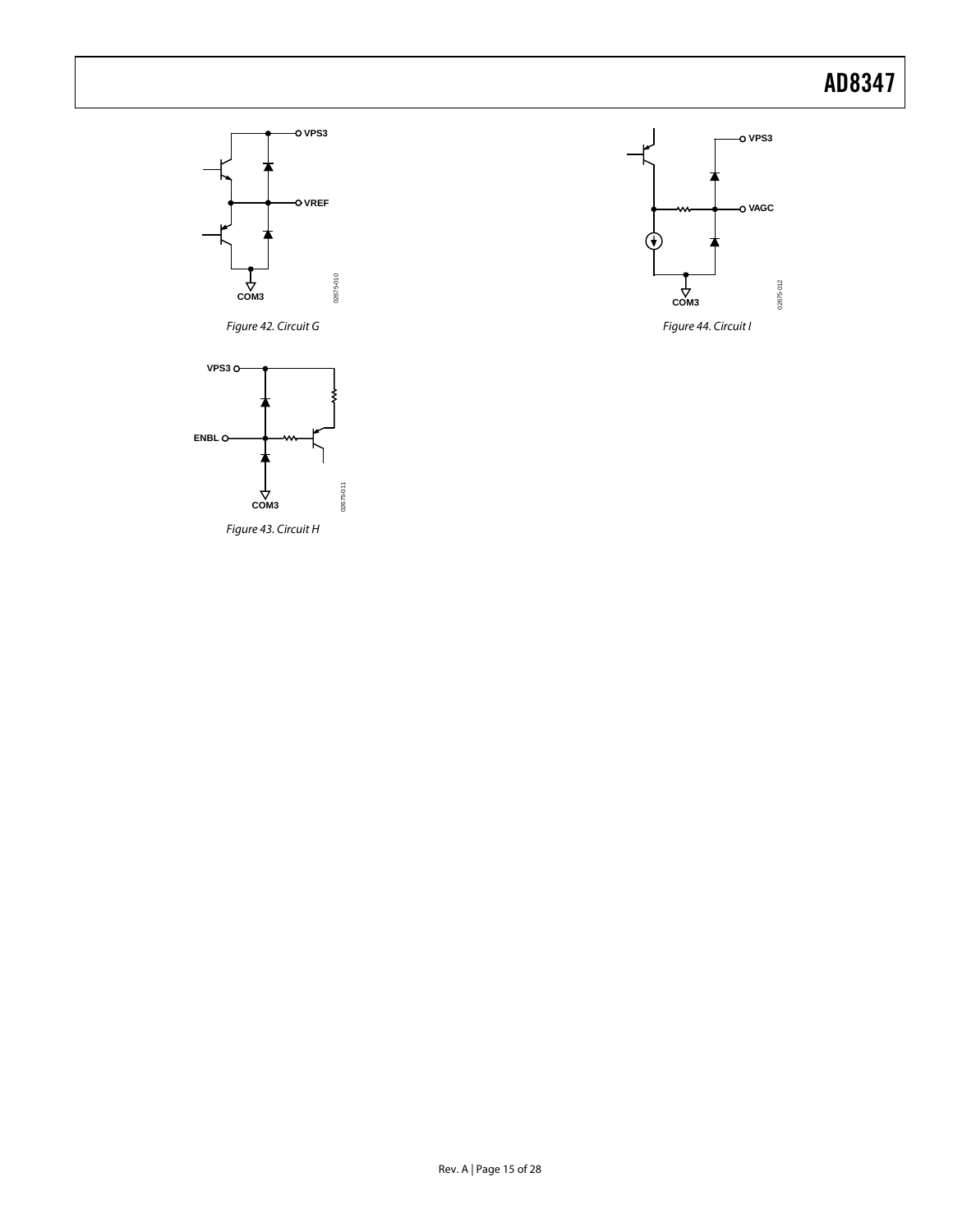02675-012

02675-012



Figure 43. Circuit H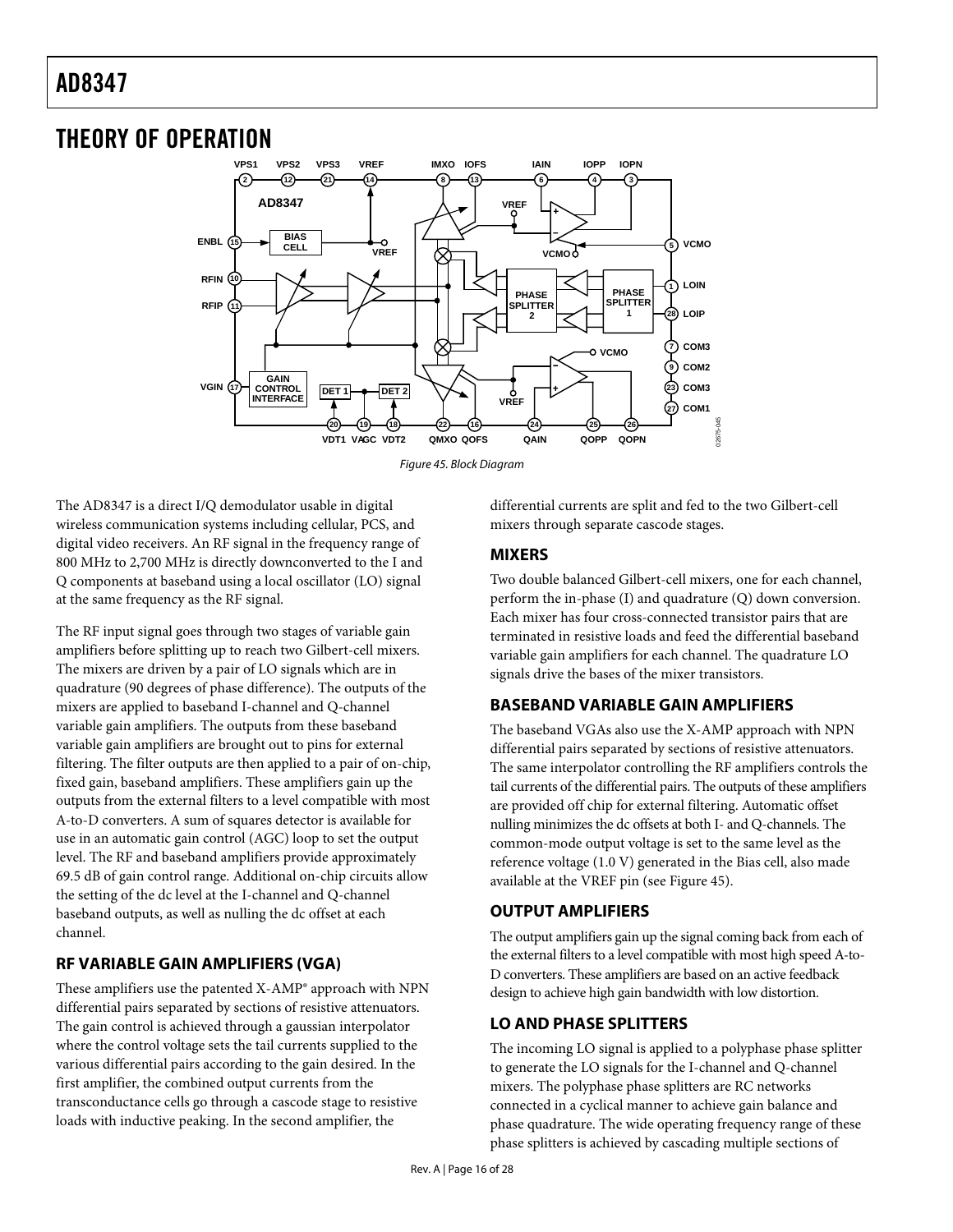## <span id="page-15-0"></span>THEORY OF OPERATION



Figure 45. Block Diagram

<span id="page-15-1"></span>The AD8347 is a direct I/Q demodulator usable in digital wireless communication systems including cellular, PCS, and digital video receivers. An RF signal in the frequency range of 800 MHz to 2,700 MHz is directly downconverted to the I and Q components at baseband using a local oscillator (LO) signal at the same frequency as the RF signal.

The RF input signal goes through two stages of variable gain amplifiers before splitting up to reach two Gilbert-cell mixers. The mixers are driven by a pair of LO signals which are in quadrature (90 degrees of phase difference). The outputs of the mixers are applied to baseband I-channel and Q-channel variable gain amplifiers. The outputs from these baseband variable gain amplifiers are brought out to pins for external filtering. The filter outputs are then applied to a pair of on-chip, fixed gain, baseband amplifiers. These amplifiers gain up the outputs from the external filters to a level compatible with most A-to-D converters. A sum of squares detector is available for use in an automatic gain control (AGC) loop to set the output level. The RF and baseband amplifiers provide approximately 69.5 dB of gain control range. Additional on-chip circuits allow the setting of the dc level at the I-channel and Q-channel baseband outputs, as well as nulling the dc offset at each channel.

#### **RF VARIABLE GAIN AMPLIFIERS (VGA)**

These amplifiers use the patented X-AMP® approach with NPN differential pairs separated by sections of resistive attenuators. The gain control is achieved through a gaussian interpolator where the control voltage sets the tail currents supplied to the various differential pairs according to the gain desired. In the first amplifier, the combined output currents from the transconductance cells go through a cascode stage to resistive loads with inductive peaking. In the second amplifier, the

differential currents are split and fed to the two Gilbert-cell mixers through separate cascode stages.

#### **MIXERS**

Two double balanced Gilbert-cell mixers, one for each channel, perform the in-phase (I) and quadrature (Q) down conversion. Each mixer has four cross-connected transistor pairs that are terminated in resistive loads and feed the differential baseband variable gain amplifiers for each channel. The quadrature LO signals drive the bases of the mixer transistors.

#### **BASEBAND VARIABLE GAIN AMPLIFIERS**

The baseband VGAs also use the X-AMP approach with NPN differential pairs separated by sections of resistive attenuators. The same interpolator controlling the RF amplifiers controls the tail currents of the differential pairs. The outputs of these amplifiers are provided off chip for external filtering. Automatic offset nulling minimizes the dc offsets at both I- and Q-channels. The common-mode output voltage is set to the same level as the reference voltage (1.0 V) generated in the Bias cell, also made available at the VREF pin (see [Figure 45\)](#page-15-1).

#### **OUTPUT AMPLIFIERS**

The output amplifiers gain up the signal coming back from each of the external filters to a level compatible with most high speed A-to-D converters. These amplifiers are based on an active feedback design to achieve high gain bandwidth with low distortion.

#### **LO AND PHASE SPLITTERS**

The incoming LO signal is applied to a polyphase phase splitter to generate the LO signals for the I-channel and Q-channel mixers. The polyphase phase splitters are RC networks connected in a cyclical manner to achieve gain balance and phase quadrature. The wide operating frequency range of these phase splitters is achieved by cascading multiple sections of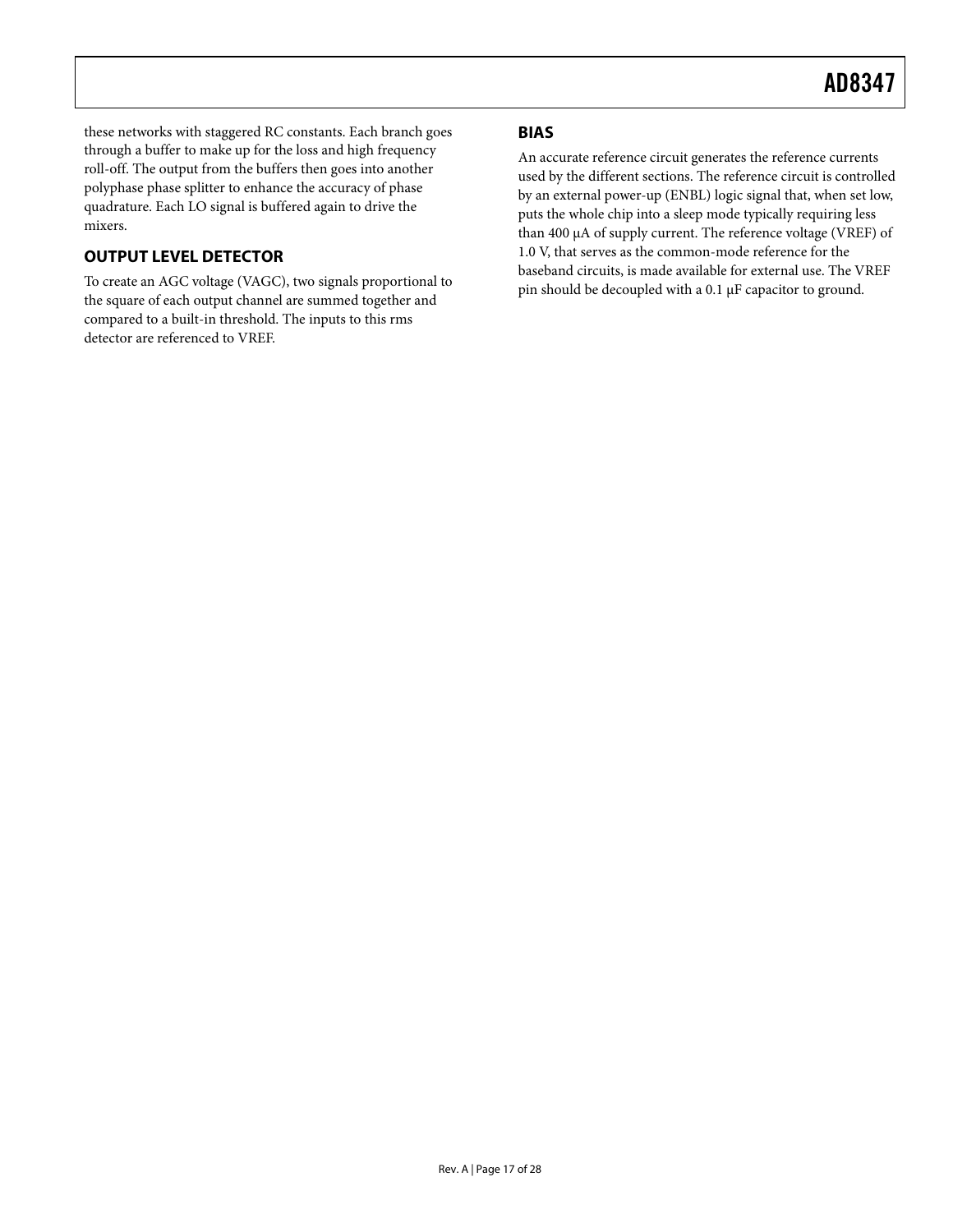<span id="page-16-0"></span>these networks with staggered RC constants. Each branch goes through a buffer to make up for the loss and high frequency roll-off. The output from the buffers then goes into another polyphase phase splitter to enhance the accuracy of phase quadrature. Each LO signal is buffered again to drive the mixers.

#### **OUTPUT LEVEL DETECTOR**

To create an AGC voltage (VAGC), two signals proportional to the square of each output channel are summed together and compared to a built-in threshold. The inputs to this rms detector are referenced to VREF.

#### **BIAS**

An accurate reference circuit generates the reference currents used by the different sections. The reference circuit is controlled by an external power-up (ENBL) logic signal that, when set low, puts the whole chip into a sleep mode typically requiring less than 400 μA of supply current. The reference voltage (VREF) of 1.0 V, that serves as the common-mode reference for the baseband circuits, is made available for external use. The VREF pin should be decoupled with a 0.1 μF capacitor to ground.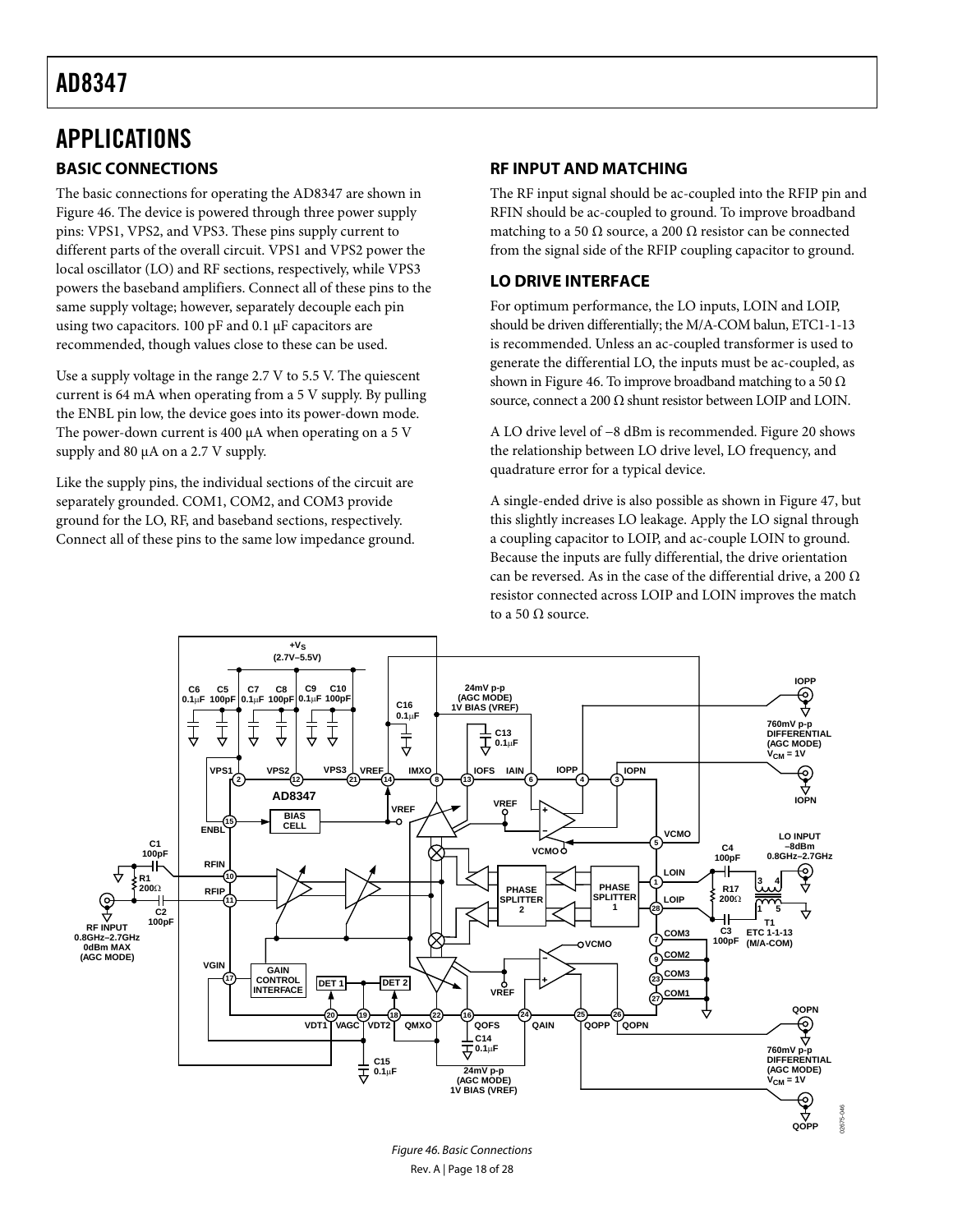# <span id="page-17-0"></span>APPLICATIONS

[Figure 46](#page-17-1). The device is powered through three power supply pins: VPS1, VPS2, and VPS3. These pins supply current to different parts of the overall circuit. VPS1 and VPS2 power the local oscillator (LO) and RF sections, respectively, while VPS3 powers the baseband amplifiers. Connect all of these pins to the same supply voltage; however, separately decouple each pin using two capacitors. 100 pF and 0.1 μF capacitors are recommended, though values close to these can be used.

Use a supply voltage in the range  $2.7$  V to  $5.5$  V. The quiescent current is 64 mA when operating from a 5 V supply. By pulling the ENBL pin low, the device goes into its power-down mode. The power-down current is 400 μA when operating on a 5 V supply and 80 μA on a 2.7 V supply.

quadrature error for a typical device. Like the supply pins, the individual sections of the circuit are separately grounded. COM1, COM2, and COM3 provide ground for the LO, RF, and baseband sections, respectively. Connect all of these pins to the same low impedance ground.

#### **BASIC CONNECTIONS RF INPUT AND MATCHING**

The basic connections for operating the AD8347 are shown in The RF input signal should be ac-coupled into the RFIP pin and RFIN should be ac-coupled to ground. To improve broadband matching to a 50  $\Omega$  source, a 200  $\Omega$  resistor can be connected from the signal side of the RFIP coupling capacitor to ground.

#### **LO DRIVE INTERFACE**

For optimum performance, the LO inputs, LOIN and LOIP, should be driven differentially; the M/A-COM balun, ETC1-1-13 is recommended. Unless an ac-coupled transformer is used to generate the differential LO, the inputs must be ac-coupled, as shown in [Figure 46.](#page-17-1) To improve broadband matching to a 50  $\Omega$ source, connect a 200  $\Omega$  shunt resistor between LOIP and LOIN.

A LO drive level of −8 dBm is recommended. [Figure 20](#page-9-0) shows the relationship between LO drive level, LO frequency, and

A single-ended drive is also possible as shown in [Figure 47](#page-18-1), but this slightly increases LO leakage. Apply the LO signal through a coupling capacitor to LOIP, and ac-couple LOIN to ground. Because the inputs are fully differential, the drive orientation can be reversed. As in the case of the differential drive, a 200  $\Omega$ resistor connected across LOIP and LOIN improves the match to a 50  $Ω$  source.

02675-046



<span id="page-17-1"></span>Rev. A | Page 18 of 28 Figure 46. Basic Connections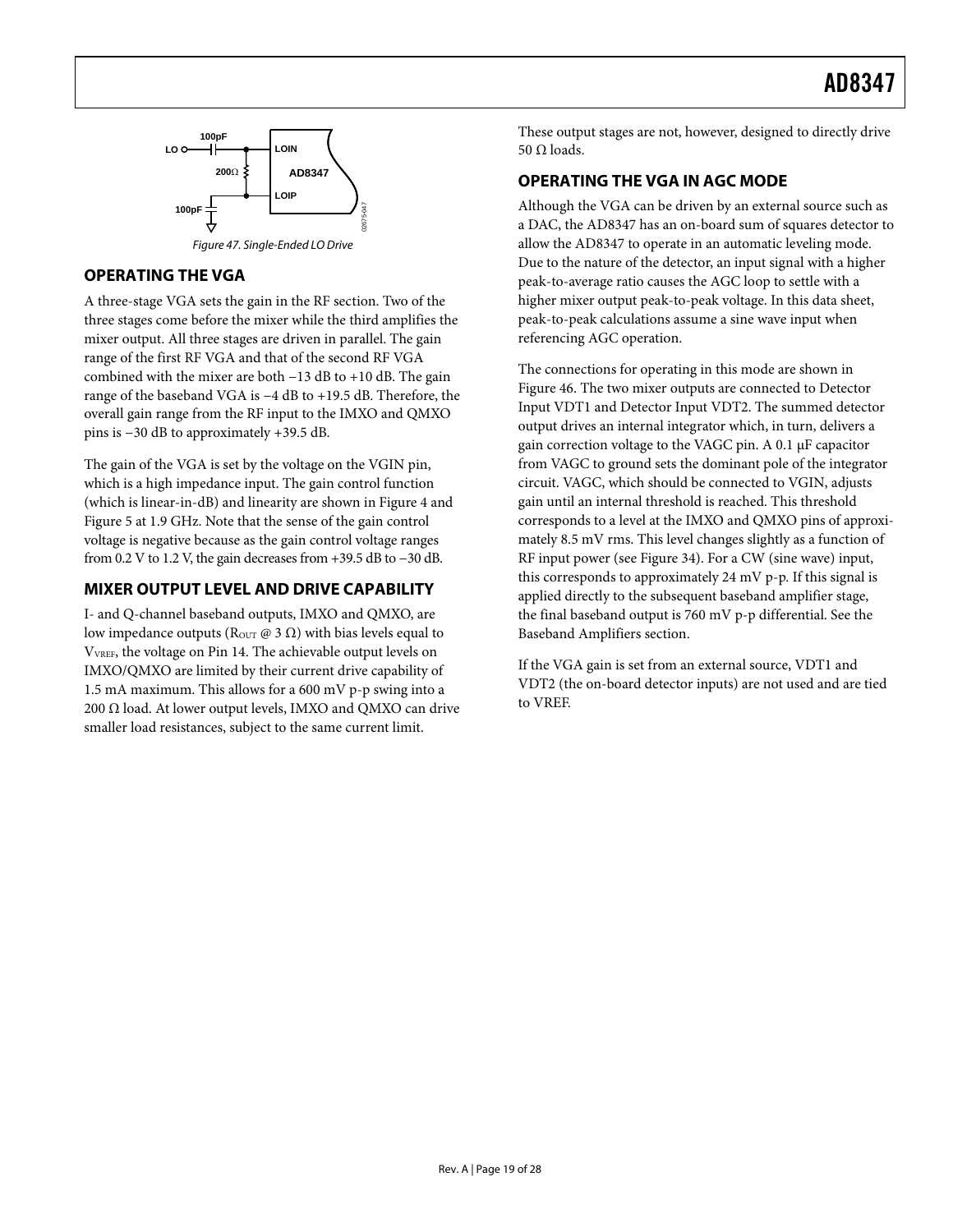<span id="page-18-0"></span>

#### <span id="page-18-1"></span>**OPERATING THE VGA**

A three-stage VGA sets the gain in the RF section. Two of the three stages come before the mixer while the third amplifies the mixer output. All three stages are driven in parallel. The gain range of the first RF VGA and that of the second RF VGA combined with the mixer are both −13 dB to +10 dB. The gain range of the baseband VGA is −4 dB to +19.5 dB. Therefore, the overall gain range from the RF input to the IMXO and QMXO pins is −30 dB to approximately +39.5 dB.

The gain of the VGA is set by the voltage on the VGIN pin, which is a high impedance input. The gain control function (which is linear-in-dB) and linearity are shown in [Figure 4](#page-7-1) and [Figure 5](#page-7-2) at 1.9 GHz. Note that the sense of the gain control voltage is negative because as the gain control voltage ranges from 0.2 V to 1.2 V, the gain decreases from +39.5 dB to −30 dB.

#### **MIXER OUTPUT LEVEL AND DRIVE CAPABILITY**

I- and Q-channel baseband outputs, IMXO and QMXO, are low impedance outputs (R<sub>OUT</sub> @ 3 Ω) with bias levels equal to VVREF, the voltage on Pin 14. The achievable output levels on IMXO/QMXO are limited by their current drive capability of 1.5 mA maximum. This allows for a 600 mV p-p swing into a 200 Ω load. At lower output levels, IMXO and QMXO can drive smaller load resistances, subject to the same current limit.

These output stages are not, however, designed to directly drive 50  $Ω$  loads.

#### **OPERATING THE VGA IN AGC MODE**

Although the VGA can be driven by an external source such as a DAC, the AD8347 has an on-board sum of squares detector to allow the AD8347 to operate in an automatic leveling mode. Due to the nature of the detector, an input signal with a higher peak-to-average ratio causes the AGC loop to settle with a higher mixer output peak-to-peak voltage. In this data sheet, peak-to-peak calculations assume a sine wave input when referencing AGC operation.

The connections for operating in this mode are shown in [Figure 46](#page-17-1). The two mixer outputs are connected to Detector Input VDT1 and Detector Input VDT2. The summed detector output drives an internal integrator which, in turn, delivers a gain correction voltage to the VAGC pin. A 0.1 μF capacitor from VAGC to ground sets the dominant pole of the integrator circuit. VAGC, which should be connected to VGIN, adjusts gain until an internal threshold is reached. This threshold corresponds to a level at the IMXO and QMXO pins of approximately 8.5 mV rms. This level changes slightly as a function of RF input power (see [Figure 34](#page-12-0)). For a CW (sine wave) input, this corresponds to approximately 24 mV p-p. If this signal is applied directly to the subsequent baseband amplifier stage, the final baseband output is 760 mV p-p differential. See the [Baseband Amplifiers](#page-19-1) section.

If the VGA gain is set from an external source, VDT1 and VDT2 (the on-board detector inputs) are not used and are tied to VREF.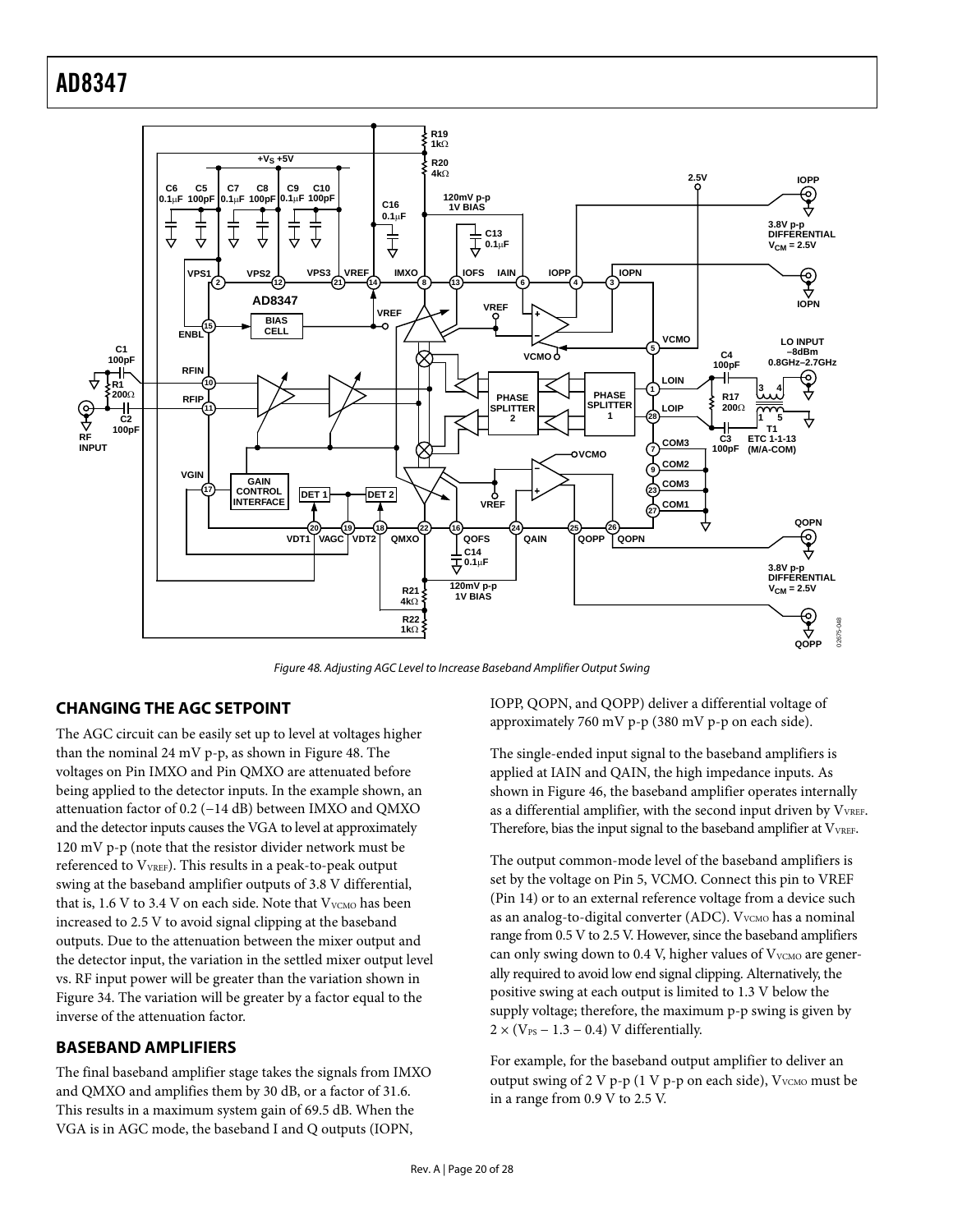<span id="page-19-0"></span>

Figure 48. Adjusting AGC Level to Increase Baseband Amplifier Output Swing

#### <span id="page-19-3"></span><span id="page-19-2"></span>**CHANGING THE AGC SETPOINT**

The AGC circuit can be easily set up to level at voltages higher than the nominal 24 mV p-p, as shown in [Figure 48](#page-19-2). The voltages on Pin IMXO and Pin QMXO are attenuated before being applied to the detector inputs. In the example shown, an attenuation factor of 0.2 (−14 dB) between IMXO and QMXO and the detector inputs causes the VGA to level at approximately 120 mV p-p (note that the resistor divider network must be referenced to V<sub>VREF</sub>). This results in a peak-to-peak output swing at the baseband amplifier outputs of 3.8 V differential, that is,  $1.6$  V to  $3.4$  V on each side. Note that  $V_{VCMO}$  has been increased to 2.5 V to avoid signal clipping at the baseband outputs. Due to the attenuation between the mixer output and the detector input, the variation in the settled mixer output level vs. RF input power will be greater than the variation shown in [Figure 34](#page-12-0). The variation will be greater by a factor equal to the inverse of the attenuation factor.

#### <span id="page-19-1"></span>**BASEBAND AMPLIFIERS**

The final baseband amplifier stage takes the signals from IMXO and QMXO and amplifies them by 30 dB, or a factor of 31.6. This results in a maximum system gain of 69.5 dB. When the VGA is in AGC mode, the baseband I and Q outputs (IOPN,

IOPP, QOPN, and QOPP) deliver a differential voltage of approximately 760 mV p-p (380 mV p-p on each side).

The single-ended input signal to the baseband amplifiers is applied at IAIN and QAIN, the high impedance inputs. As shown in [Figure 46](#page-17-1), the baseband amplifier operates internally as a differential amplifier, with the second input driven by V<sub>VREF</sub>. Therefore, bias the input signal to the baseband amplifier at V<sub>VREF</sub>.

The output common-mode level of the baseband amplifiers is set by the voltage on Pin 5, VCMO. Connect this pin to VREF (Pin 14) or to an external reference voltage from a device such as an analog-to-digital converter (ADC). V<sub>VCMO</sub> has a nominal range from 0.5 V to 2.5 V. However, since the baseband amplifiers can only swing down to 0.4 V, higher values of  $V<sub>VCMO</sub>$  are generally required to avoid low end signal clipping. Alternatively, the positive swing at each output is limited to 1.3 V below the supply voltage; therefore, the maximum p-p swing is given by  $2 \times$  (V<sub>PS</sub> – 1.3 – 0.4) V differentially.

For example, for the baseband output amplifier to deliver an output swing of  $2 V p-p (1 V p-p)$  on each side),  $V_{VCMO}$  must be in a range from 0.9 V to 2.5 V.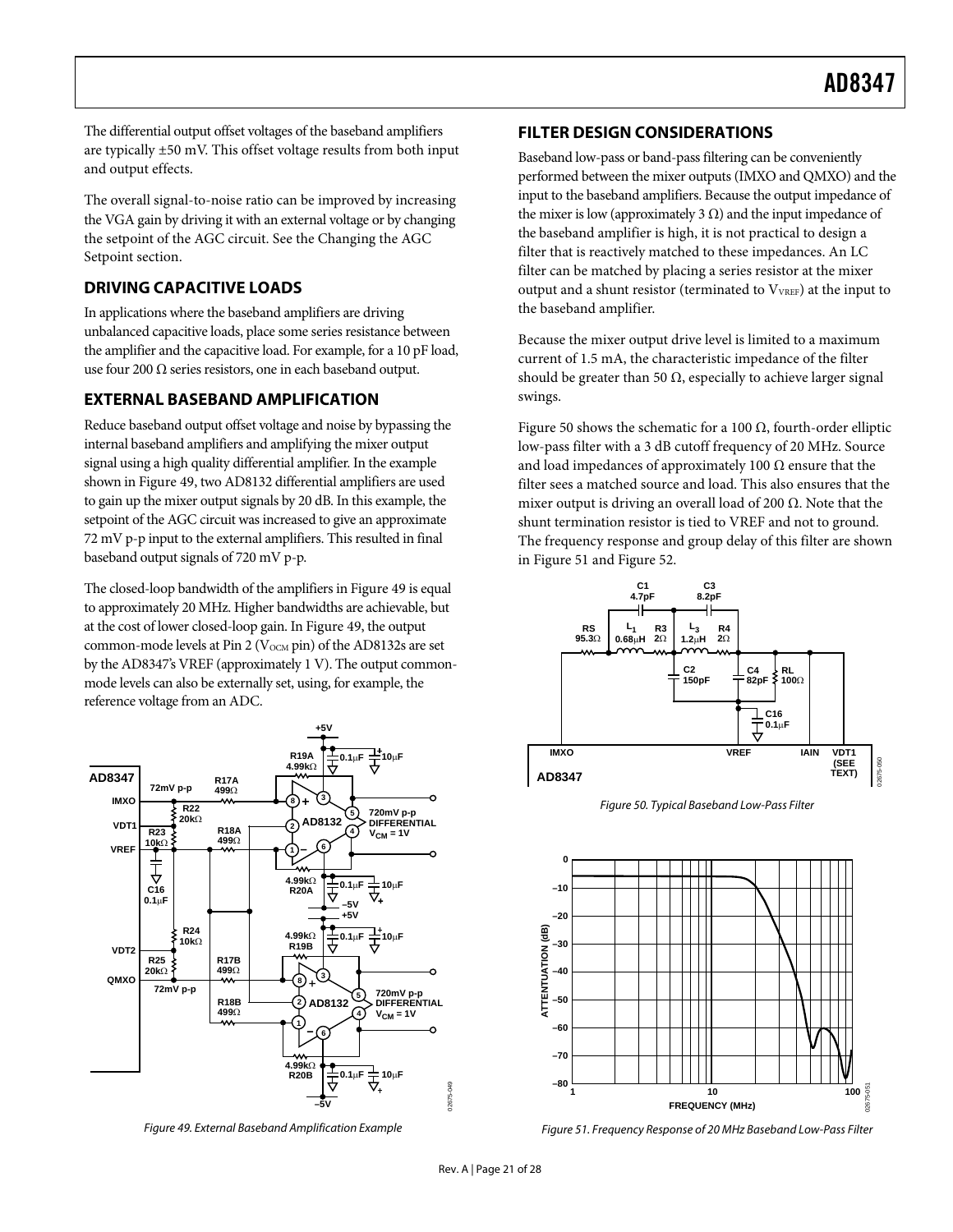<span id="page-20-0"></span>The differential output offset voltages of the baseband amplifiers are typically ±50 mV. This offset voltage results from both input and output effects.

The overall signal-to-noise ratio can be improved by increasing the VGA gain by driving it with an external voltage or by changing the setpoint of the AGC circuit. See the [Changing the AGC](#page-19-3)  [Setpoint](#page-19-3) section.

#### **DRIVING CAPACITIVE LOADS**

In applications where the baseband amplifiers are driving unbalanced capacitive loads, place some series resistance between the amplifier and the capacitive load. For example, for a 10 pF load, use four 200  $\Omega$  series resistors, one in each baseband output.

#### **EXTERNAL BASEBAND AMPLIFICATION** swings.

Reduce baseband output offset voltage and noise by bypassing the internal baseband amplifiers and amplifying the mixer output signal using a high quality differential amplifier. In the example shown in [Figure 49,](#page-20-1) two AD8132 differential amplifiers are used to gain up the mixer output signals by 20 dB. In this example, the setpoint of the AGC circuit was increased to give an approximate 72 mV p-p input to the external amplifiers. This resulted in final baseband output signals of  $720 \text{ mV p-p}.$ 

The closed-loop bandwidth of the amplifiers in [Figure 49](#page-20-1) is equal to approximately 20 MHz. Higher bandwidths are achievable, but at the cost of lower closed-loop gain. In [Figure 49](#page-20-1), the output common-mode levels at Pin 2 ( $V_{OCM}$  pin) of the AD8132s are set by the AD8347's VREF (approximately 1 V). The output commonmode levels can also be externally set, using, for example, the reference voltage from an ADC.

<span id="page-20-2"></span>

<span id="page-20-3"></span><span id="page-20-1"></span>

#### **FILTER DESIGN CONSIDERATIONS**

Baseband low-pass or band-pass filtering can be conveniently performed between the mixer outputs (IMXO and QMXO) and the input to the baseband amplifiers. Because the output impedance of the mixer is low (approximately 3  $\Omega$ ) and the input impedance of the baseband amplifier is high, it is not practical to design a filter that is reactively matched to these impedances. An LC filter can be matched by placing a series resistor at the mixer output and a shunt resistor (terminated to V<sub>VREF</sub>) at the input to the baseband amplifier.

Because the mixer output drive level is limited to a maximum current of 1.5 mA, the characteristic impedance of the filter should be greater than 50  $\Omega$ , especially to achieve larger signal

[Figure 50](#page-20-2) shows the schematic for a 100  $\Omega$ , fourth-order elliptic low-pass filter with a 3 dB cutoff frequency of 20 MHz. Source and load impedances of approximately 100  $\Omega$  ensure that the filter sees a matched source and load. This also ensures that the mixer output is driving an overall load of 200  $\Omega$ . Note that the shunt termination resistor is tied to VREF and not to ground. The frequency response and group delay of this filter are shown in Figure 51 and Figure 52.



Figure 50. Typical Baseband Low-Pass Filter



Figure 49. External Baseband Amplification Example Figure 51. Frequency Response of 20 MHz Baseband Low-Pass Filter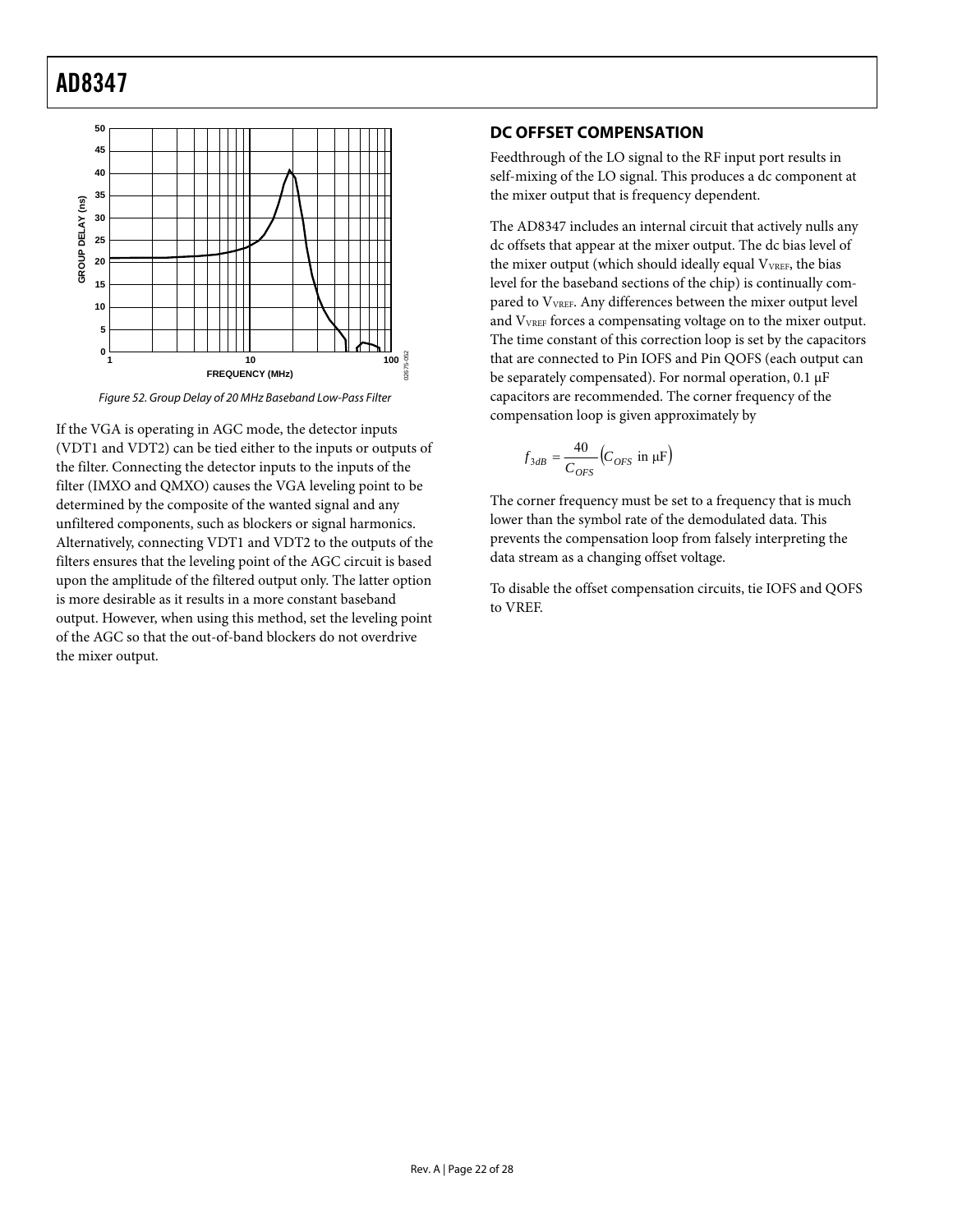<span id="page-21-0"></span>

Figure 52. Group Delay of 20 MHz Baseband Low-Pass Filter

<span id="page-21-1"></span>If the VGA is operating in AGC mode, the detector inputs (VDT1 and VDT2) can be tied either to the inputs or outputs of the filter. Connecting the detector inputs to the inputs of the filter (IMXO and QMXO) causes the VGA leveling point to be determined by the composite of the wanted signal and any unfiltered components, such as blockers or signal harmonics. Alternatively, connecting VDT1 and VDT2 to the outputs of the filters ensures that the leveling point of the AGC circuit is based upon the amplitude of the filtered output only. The latter option is more desirable as it results in a more constant baseband output. However, when using this method, set the leveling point of the AGC so that the out-of-band blockers do not overdrive the mixer output.

#### **DC OFFSET COMPENSATION**

Feedthrough of the LO signal to the RF input port results in self-mixing of the LO signal. This produces a dc component at the mixer output that is frequency dependent.

The AD8347 includes an internal circuit that actively nulls any dc offsets that appear at the mixer output. The dc bias level of the mixer output (which should ideally equal VVREF, the bias level for the baseband sections of the chip) is continually compared to V<sub>VREF</sub>. Any differences between the mixer output level and V<sub>VREF</sub> forces a compensating voltage on to the mixer output. The time constant of this correction loop is set by the capacitors that are connected to Pin IOFS and Pin QOFS (each output can be separately compensated). For normal operation, 0.1 μF capacitors are recommended. The corner frequency of the compensation loop is given approximately by

$$
f_{3dB} = \frac{40}{C_{OFS}} \left( C_{OFS} \text{ in } \mu \text{F} \right)
$$

The corner frequency must be set to a frequency that is much lower than the symbol rate of the demodulated data. This prevents the compensation loop from falsely interpreting the data stream as a changing offset voltage.

To disable the offset compensation circuits, tie IOFS and QOFS to VREF.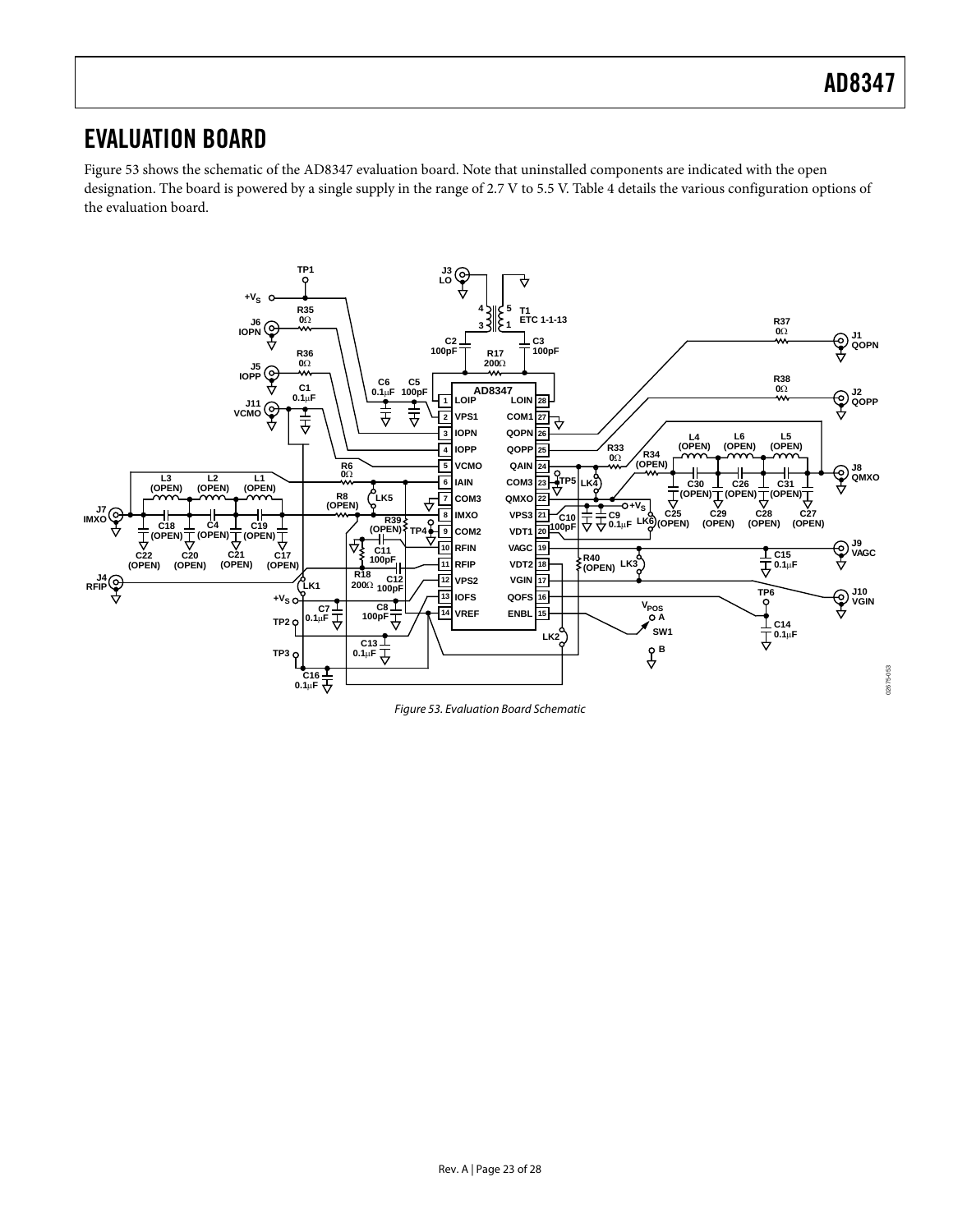## <span id="page-22-0"></span>EVALUATION BOARD

[Figure 53](#page-22-1) shows the schematic of the AD8347 evaluation board. Note that uninstalled components are indicated with the open designation. The board is powered by a single supply in the range of 2.7 V to 5.5 V. [Table 4](#page-24-0) details the various configuration options of the evaluation board.



<span id="page-22-1"></span>Figure 53. Evaluation Board Schematic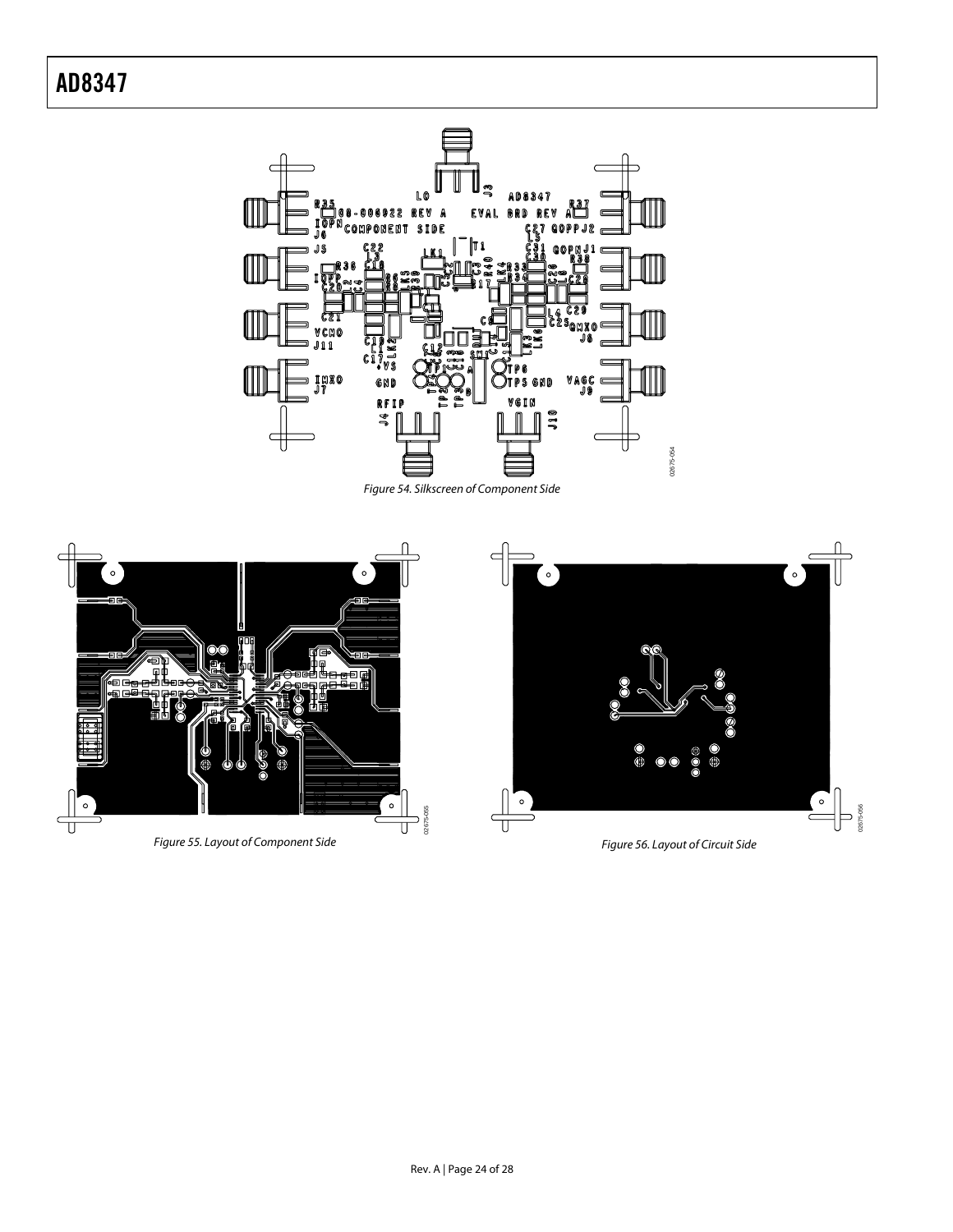

Figure 54. Silkscreen of Component Side



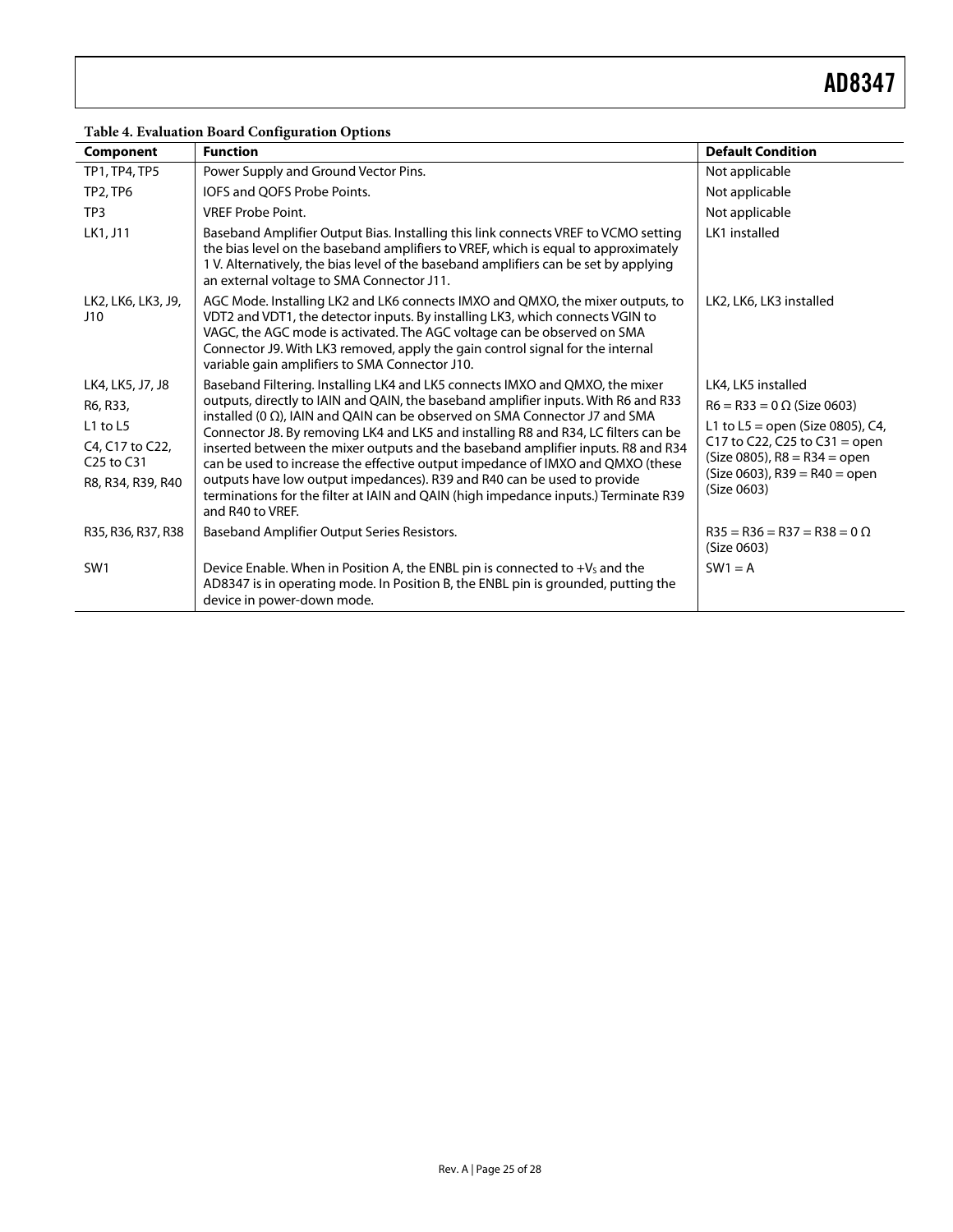#### **Table 4. Evaluation Board Configuration Options**

<span id="page-24-0"></span>

| Component                                                                                                                  | <b>Function</b>                                                                                                                                                                                                                                                                                                                                                                                                                                                                                                                                                                                                                                                                                            | <b>Default Condition</b>                                                                                                                                                                                           |
|----------------------------------------------------------------------------------------------------------------------------|------------------------------------------------------------------------------------------------------------------------------------------------------------------------------------------------------------------------------------------------------------------------------------------------------------------------------------------------------------------------------------------------------------------------------------------------------------------------------------------------------------------------------------------------------------------------------------------------------------------------------------------------------------------------------------------------------------|--------------------------------------------------------------------------------------------------------------------------------------------------------------------------------------------------------------------|
| TP1, TP4, TP5                                                                                                              | Power Supply and Ground Vector Pins.                                                                                                                                                                                                                                                                                                                                                                                                                                                                                                                                                                                                                                                                       | Not applicable                                                                                                                                                                                                     |
| <b>TP2, TP6</b>                                                                                                            | IOFS and OOFS Probe Points.                                                                                                                                                                                                                                                                                                                                                                                                                                                                                                                                                                                                                                                                                | Not applicable                                                                                                                                                                                                     |
| TP <sub>3</sub>                                                                                                            | <b>VREF Probe Point.</b>                                                                                                                                                                                                                                                                                                                                                                                                                                                                                                                                                                                                                                                                                   | Not applicable                                                                                                                                                                                                     |
| LK1, J11                                                                                                                   | Baseband Amplifier Output Bias. Installing this link connects VREF to VCMO setting<br>the bias level on the baseband amplifiers to VREF, which is equal to approximately<br>1 V. Alternatively, the bias level of the baseband amplifiers can be set by applying<br>an external voltage to SMA Connector J11.                                                                                                                                                                                                                                                                                                                                                                                              | LK1 installed                                                                                                                                                                                                      |
| LK2, LK6, LK3, J9,<br>J10                                                                                                  | AGC Mode. Installing LK2 and LK6 connects IMXO and QMXO, the mixer outputs, to<br>VDT2 and VDT1, the detector inputs. By installing LK3, which connects VGIN to<br>VAGC, the AGC mode is activated. The AGC voltage can be observed on SMA<br>Connector J9. With LK3 removed, apply the gain control signal for the internal<br>variable gain amplifiers to SMA Connector J10.                                                                                                                                                                                                                                                                                                                             | LK2, LK6, LK3 installed                                                                                                                                                                                            |
| LK4, LK5, J7, J8<br>R6, R33,<br>$L1$ to $L5$<br>C4, C17 to C22,<br>C <sub>25</sub> to C <sub>31</sub><br>R8, R34, R39, R40 | Baseband Filtering. Installing LK4 and LK5 connects IMXO and QMXO, the mixer<br>outputs, directly to IAIN and QAIN, the baseband amplifier inputs. With R6 and R33<br>installed $(0 \Omega)$ , IAIN and QAIN can be observed on SMA Connector J7 and SMA<br>Connector J8. By removing LK4 and LK5 and installing R8 and R34, LC filters can be<br>inserted between the mixer outputs and the baseband amplifier inputs. R8 and R34<br>can be used to increase the effective output impedance of IMXO and QMXO (these<br>outputs have low output impedances). R39 and R40 can be used to provide<br>terminations for the filter at IAIN and QAIN (high impedance inputs.) Terminate R39<br>and R40 to VREF. | LK4, LK5 installed<br>$R6 = R33 = 0 \Omega$ (Size 0603)<br>L1 to L5 = open (Size 0805), C4,<br>C17 to C22, C25 to C31 = open<br>$(Size 0805)$ , R8 = R34 = open<br>$(Size 0603)$ , R39 = R40 = open<br>(Size 0603) |
| R35, R36, R37, R38                                                                                                         | Baseband Amplifier Output Series Resistors.                                                                                                                                                                                                                                                                                                                                                                                                                                                                                                                                                                                                                                                                | $R35 = R36 = R37 = R38 = 0 \Omega$<br>(Size 0603)                                                                                                                                                                  |
| SW <sub>1</sub>                                                                                                            | Device Enable. When in Position A, the ENBL pin is connected to $+V_5$ and the<br>AD8347 is in operating mode. In Position B, the ENBL pin is grounded, putting the<br>device in power-down mode.                                                                                                                                                                                                                                                                                                                                                                                                                                                                                                          | $SW1 = A$                                                                                                                                                                                                          |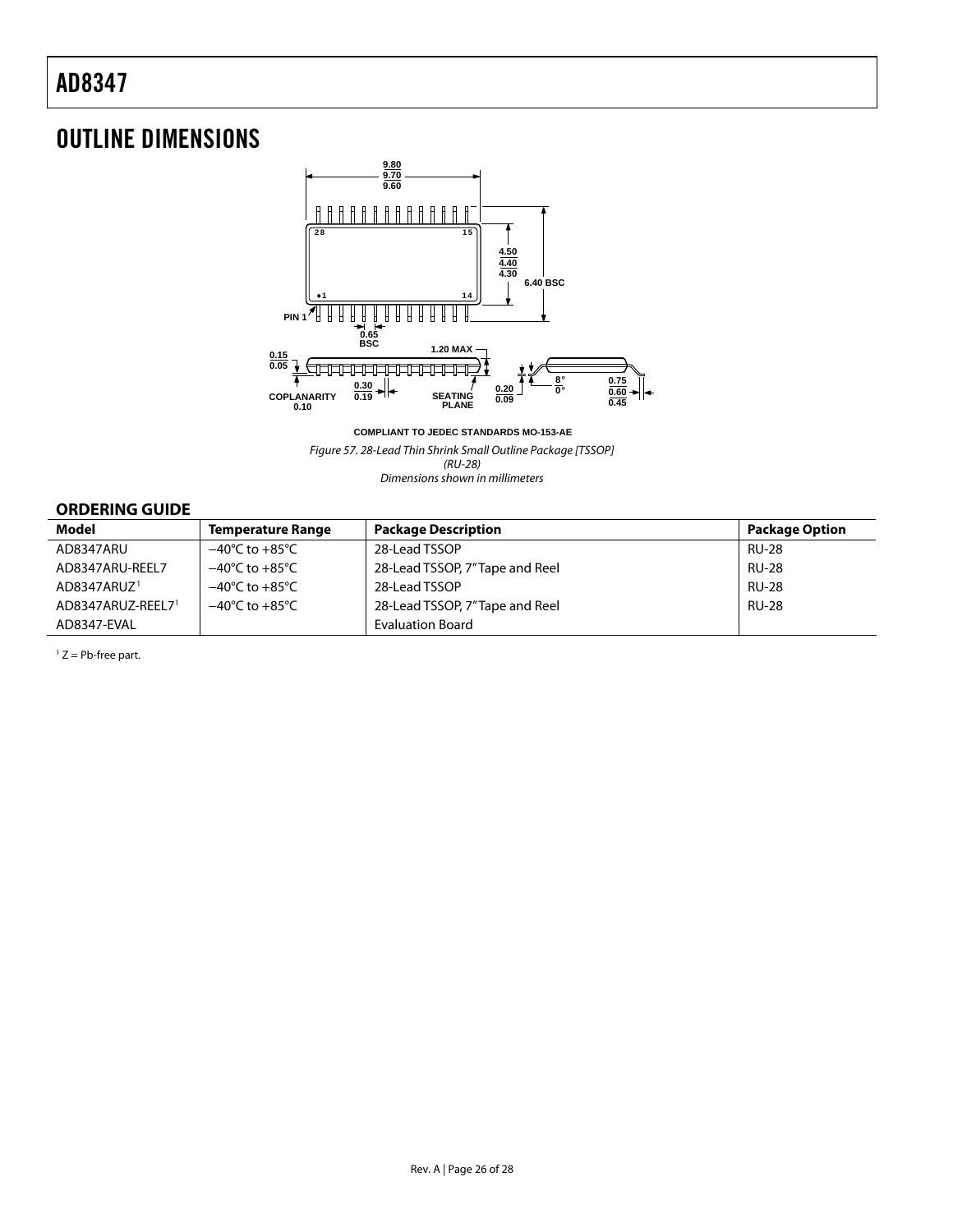## <span id="page-25-1"></span><span id="page-25-0"></span>OUTLINE DIMENSIONS



**COMPLIANT TO JEDEC STANDARDS MO-153-AE**

Figure 57. 28-Lead Thin Shrink Small Outline Package [TSSOP] (RU-28) Dimensions shown in millimeters

#### **ORDERING GUIDE**

<span id="page-25-2"></span>

| <b>Model</b>            | Temperature Range                  | <b>Package Description</b>      | <b>Package Option</b> |
|-------------------------|------------------------------------|---------------------------------|-----------------------|
| AD8347ARU               | $-40^{\circ}$ C to $+85^{\circ}$ C | 28-Lead TSSOP                   | <b>RU-28</b>          |
| AD8347ARU-REEL7         | $-40^{\circ}$ C to $+85^{\circ}$ C | 28-Lead TSSOP, 7" Tape and Reel | <b>RU-28</b>          |
| AD8347ARUZ <sup>1</sup> | $-40^{\circ}$ C to $+85^{\circ}$ C | 28-Lead TSSOP                   | <b>RU-28</b>          |
| AD8347ARUZ-REEL71       | $-40^{\circ}$ C to $+85^{\circ}$ C | 28-Lead TSSOP, 7"Tape and Reel  | <b>RU-28</b>          |
| AD8347-EVAL             |                                    | <b>Evaluation Board</b>         |                       |

 $1 Z = Pb$ -free part.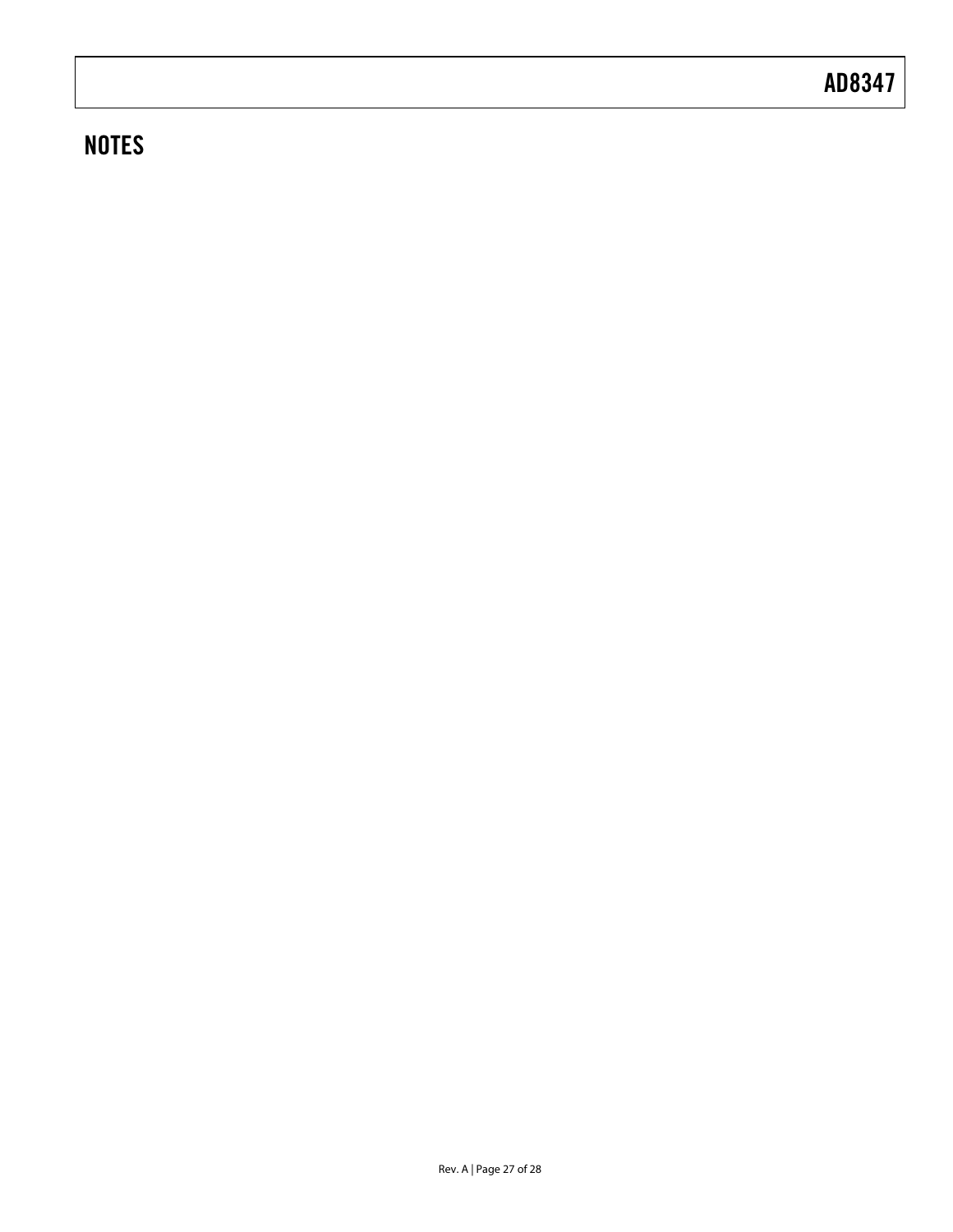## **NOTES**